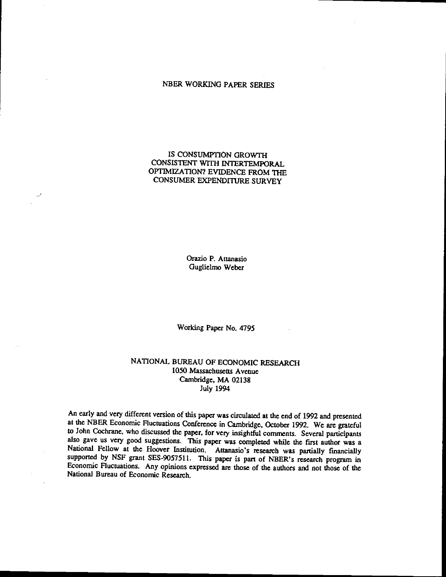# NBER WORKING PAPER SERIES

# IS CONSUMPTION GROWTH CONSISTENT WITH INTERTEMPORAL OPTIMIZATION? EVIDENCE FROM THE CONSUMER EXPENDITURE SURVEY

Orazio P. Attanasio Guglielmo Weber

Working Paper No. 4795

# NATIONAL BUREAU OF ECONOMIC RESEARCH 1050 Massachusetts Avenue Cambridge, MA 02138 July 1994

An early and very different version of this paper was circulated at the end of 1992 and presented at the NEER Economic fluctuations Conference in Cambridge, October 1992. We are grateful to John Cochrane, who discussed the paper, for very insightful comments. Several participants also gave us very good suggestions. This paper was completed while the first author was a National Fellow at the Hoover Institution. Attanasio's research was partially fmancially supported by NSF grant SES-9057511. This paper is part of NBER's research program in Economic Fluctuations. Any opinions expressed are those of the authors and not those of the National Bureau of Economic Research.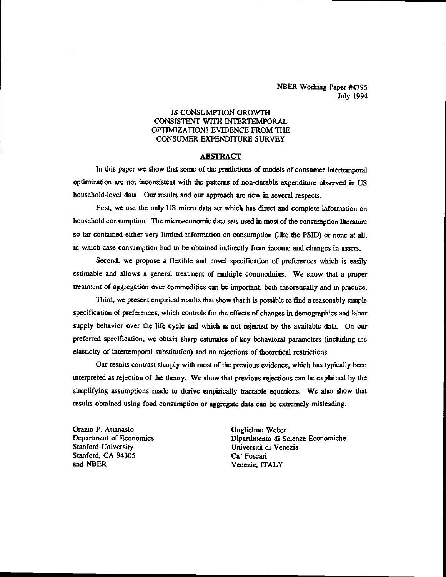NBER Working Paper #4795 July 1994

# IS CONSUMPTION GROWTH CONSISTENT WITH INTERTEMPORAL OPTIMIZATION? EVIDENCE FROM THE CONSUMER EXPENDITURE SURVEY

# **ABSTRACT**

In this paper we show that some of the predictions of models of consumer intertemporal optimization are not inconsistent with the patterns of non-durable expenditure observed in US household-level data, Our results and our approach are new in several respects.

First, we use the only US micro data set which has direct and complete information on household consumption. The microeconomic data sets used in most of the consumption literature so far contained either very limited information on consumption (like the PSID) or none at all, in which case consumption had to be obtained indirectly from income and changes in assets.

Second, we propose a flexible and novel specification of preferences which is easily estimable and allows a general treatment of multiple commodities. We show that a proper utatment of aggregation over commodities can be important, both theoretically and in practice.

Third, we present empirical results that show that it is possible to find a reasonably simple specification of preferences, which controls for the effects of changes in demographics and labor supply behavior over the life cycle and which is not rejected by the available data. On our preferred specification, we obtain sharp estimates of key behavioral parameters (including the elasticity of intertemporal substitution) and no rejections of theoretical restrictions.

Our results contrast sharply with most of the previous evidence, which has typically been interpreted as rejection of the theory. We show that previous rejections can be explained by the simplifying assumptions made to derive empirically tractable equations. We also show that results obtained using food consumption or aggregate data can be extremely misleading.

Orazio P. Attanasio di Solomonics di Solomonics di Solomonics di Solomonics di Solomonics di Solomonics di Solomonics di Solomonics di Solomonics di Solomonics di Solomonics di Solomonics di Solomonics di Solomonics di Sol Stanford, CA 94305 Ca' Foscari<br>
and NBER<br>
Venezia IT

Department of Economics Dipartimento di Scienzc Economiche Università di Venezia Venezia, ITALY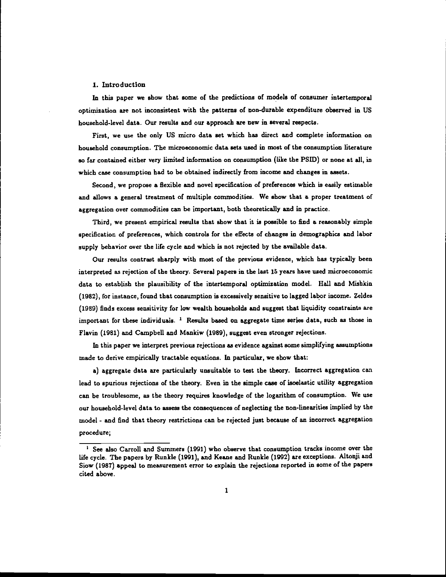#### 1. Introduction

In this paper we show that some of the predictions of models of consumer intertemporal optimization are not inconsistent with the patterns of non-durable expenditure observed in US household-level data. Our results and our approach are new in several respects.

First, we use the only US micro data set which has direct and complete information on household consumption. The microeconomic data sets used in most of the consumption literature so far contained either very limited information on consumption (like the PSID) or none at all, in which case consumption had to be obtained indirectly from income and changes in assets.

Second, we propose a flexible and novel specification of preferences which is easily estimable and allows a general treatment of multiple commodities. We show that a proper treatment of aggregation over commodities can be important, both theoretically and in practice.

Third, we present empirical results that show that it is possible to find a reasonably simple specification of preferences, which controls for the effects of changes in demographics and labor supply behavior over the life cycle and which is not rejected by the available data.

Our results contrast sharply with most of the previous evidence, which has typically been interpreted as rejection of the theory. Several papers in the last 15 years have used microeconomic data to establish the plausibility of the intertemporal optimization model. Hall and Mishkin (1982), for instance, found that consumption is excessively sensitive to lagged labor income. Zeldes (1989) finds excess sensitivity for low wealth households and suggest that liquidity constraints arc important for these individuals.  $1$  Results based on aggregate time series data, such as those in Flavin (1981) and Campbell and Mankiw (1989), suggest even stronger rejections.

In this paper we interpret previous rejections as evidence against some simplifying assumptions made to derive empirically tractable equations. In particular, we show that:

a) aggregate data are particularly unsuitable to test the theory. Incorrect aggregation can lead to spurious rejections of the theory. Even in the simple case of isoelastic utility aggregation can be troublesome, as the theory requires knowledge of the logarithm of consumption. We use our household-level data to assess the consequences of neglecting the non-linearities implied by the model - and find that theory restrictions can be rejected just because of an incorrect aggregation procedure;

 $<sup>1</sup>$  See also Carroll and Summers (1991) who observe that consumption tracks income over the</sup> life cycle. The papers by Runkle (1991), and Keane and Runkle (1992) are exceptions. Altonji and Siow (1987) appeal to measurement error to explain the rejections reported in some of the papers cited above.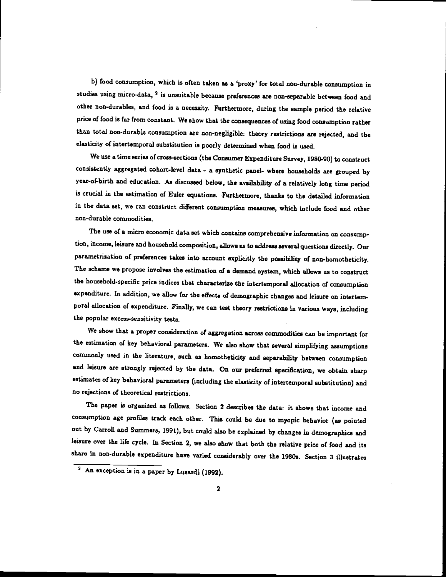b) food consumption, which is often taken as a 'proxy' for total non-durable consumption in studies using micro-data, <sup>2</sup> is unsuitable because preferences are non-separable between food and other non-durables, and food is a necessity. Furthermore, during the sample period the relative price of food is far from constant. We show that the consequences of using food consumption rather than total non-durable consumption are non-negligible: theory restrictions are rejected, and the elasticity of intertemporal substitution is poorly determined when food is used.

We use a time series of cross-sections (the Consumer Expenditure Survey, 1980-90) to construct consistently aggregated cohort-level data - <sup>a</sup> synthetic panel- where households are grouped by year-of-birth and education. As discussed below, the availability of a relatively long time period is crucial in the estimation of Euler equations. Furthermore, thanks to the detailed information in the data set, we can construct different consumption measures, which include food and other non-durable commodities.

The use of a micro economic data set which contains comprehensive information on consumption, income, leisure and household composition, allows us to address several questions directly. Our parametrization of preferences takes into account explicitly the possibility of non-homotheticity. The scheme we propose involves the estimation of a demand system, which allows us to construct the household-specific price indices that characterize the intertemporal allocation of consumption expenditure. In addition, we allow for the effects of demographic changes and leisure on intertemporal allocation of expenditure. Finally, we can test theory restrictions in various ways, including the popular excess-sensitivity tests. -

We show that a proper consideration of aggregation across commodities can be important for the estimation of key behavioral parameters. We also show that several simplifying assumptions commonly used in the literature, such as homotheticity and separability between consumption and leisure are strongly rejected by the data. On our preferred specification, we obtain sharp estimates of key behavioral parameters (including the elasticity of intertemporal substitution) and no rejections of theoretical restrictions.

The paper is organized as follows. Section 2 describes the data: it shows that income and consumption age profiles track each other. This could be due to myopic behavior (as pointed out by Carroll and Summers, 1991), but could also be explained bychanges in demographics and leisure over the life cycle. In Section 2, we also show that both the relative price of food and its share in non-durable expenditure have varied considerably over the 1980s. Section 3 illustrates

<sup>&</sup>lt;sup>2</sup> An exception is in a paper by Lusardi (1992).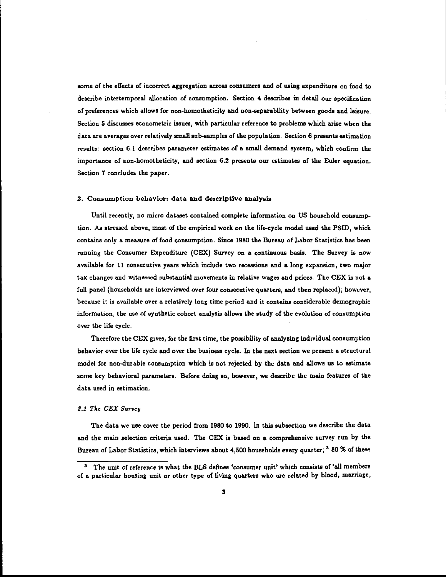some of the effects of incorrect aggregation across consumers and of using expenditure on food to describe intertemporal allocation of consumption. Section 4 describes in detail our specification of preferences which allows for non-homotheticity and non-separability between goods and leisure. Section 5 discusses econometric issues, with particular reference to problems which arise when the data are averages over relatively small sub-samples of the population. Section 6 presents estimation results: section 6.1 describes parameter estimates of a small demand system, which confirm the importance of non-homotheticity, and section 6.2 presents our estimates of the Euler equation. Section 7 concludes the paper.

#### 2. Consumption behavior: data and descriptive analysis

Until recently, no micro dataset contained complete information on US household consumption. As stressed above, most of the empirical work on the life-cycle model used the PSID, which contains only a measure of food consumption. Since 1980 the Bureau of Labor Statistics has been running the Consumer Expenditure (CEX) Survey on a continuous basis. The Survey is now available for 11 consecutive years which include two recessions and a long expansion, two major tax changes and witnessed substantial movements in relative wages and prices. The CEX is not a full panel (households are interviewed over four consecutive quarters, and then replaced); however, because it is available over a relatively long time period and it contains considerable demographic information, the use of synthetic cohort analysis allows the study of the evolution of consumption over the life cycle.

Therefore the CEX gives, for the first time, the possibility of analyzing individual consumption behavior over the life cycle and over the business cycle. In the next section we present a structural model for non-durable consumption which is not rejected by the data and allows us to estimate some key behavioral parameters. Before doing so, however, we describe the main features of the data used in estimation.

#### 2.1 The CEX Survey

The data we use cover the period from 1980 to 1990. In this subsection we describe the data and the main selection criteria used. The CEX is based on a comprehensive survey run by the Bureau of Labor Statistics, which interviews about 4,500 households every quarter; <sup>3</sup> 80 % of these

The unit of reference is what the BLS defines 'consumer unit' which consists of 'all members of a particular housing unit or other type of living quarters who are related by blood, marriage,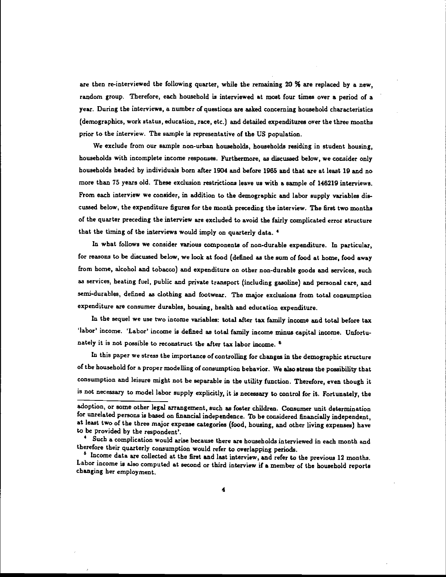are then re-interviewed the following quarter, while the remaining 20 % are replaced by a new, random group. Therefore, each household is interviewed at moat four times over a period of a year. During the interviews, a number of questions are asked concerning household characteristics (demographics, work status, education, race, etc.) and detailed expenditures over the three months prior to the interview. The sample is representative of the US population.

We exclude from our sample non-urban households, households residing in student housing, households with incomplete income responses. Furthermore, as discussed below, we consider only households headed by individuals born after 1904 and before 1965 and that are at least 19 and no more than 75 years old. These exclusion restrictions leave us with a sample of 146219 interviews. From each interview we consider, in addition to the demographic and labor supply variables diecussed below, the expenditure figures for the month preceding the interview. The first two months of the quarter preceding the interview are excluded to avoid the fairly complicated error structure that the timing of the interviews would imply on quarterly data.

In what follows we consider various components of non-durable expenditure. In particular, for reasons to be discussed below, we look at food (defined as the sum of food at home, food away from home, alcohol and tobacco) and expenditure on other non-durable goods and services, such as services, heating fuel, public and private transport (including gasoline) and personal care, and semi-durables, defined as clothing and footwear. The major exclusions from total consumption expenditure are consumer durables, housing, health and education expenditure.

In the sequel we use two income variables: total after tax family income and total before tax 'labor' income. •Labor' income is defined as total family income minus capital income. Unfortunately it is not possible to reconstruct the after tax labor income.<sup>5</sup>

In this paper we stress the importance of controlling for changes in the demographic structure of the household for a proper modelling of consumption behavior. We also stress the possibility that consumption and leisure might not be separable in the utility function. Therefore, even though it is not necessary to model labor supply explicitly, it is necessary to control for it. Fortunately, the

adoption, or some other legal arrangement, such as foster children. Consumer unit determination for unrelated persons is based on financial independence. To be considered financially independent, at least two of the three major expense categories (food, housing, and other living expenses) have to be provided by the respondent'.

Such a complication would arise because there are households interviewed in each month and therefore their quarterly consumption would refer to overlapping periods.

<sup>&</sup>lt;sup>5</sup> Income data are collected at the first and last interview, and refer to the previous 12 months. Labor income is also computed at second or third interview if a member of the household reports changing her employment.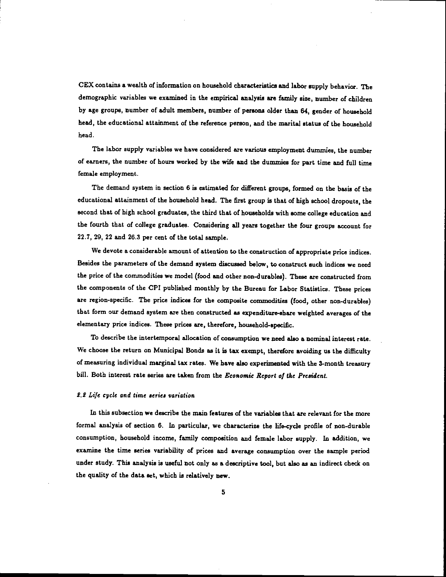CEX contains a wealth of information on household characteristics and labor supply behavior. The demographic variables we examined in the empirical analysis are family size, number of children by age groups, number of adult members, number of persona older than 64, gender of household head, the educational attainment of the reference person, and the marital status of the household head.

The labor supply variables we have considered are various employment dummies, the number of earners, the number of hours worked by the wife and the dummies for part time and full time female employment.

The demand system in section 6 is estimated for different groups, formed on the basis of the educational attainment of the household head. The first group is that of high school dropouts, the second that of high school graduates, the third that of households with some college education and the fourth that of college graduates. Considering all years together the four groups account for 22.7, 29, 22 and 26.3 per cent of the total sample.

We devote a considerable amount of attention to the construction of appropriate price indices. Besides the parameters of the demand system discussed below, to construct such indices we need the price of the commodities we model (food and other non-durables). These are constructed from the components of the CPI published monthly by the Bureau for Labor Statistics. These prices are region-specific. The price indices for the composite commodities (food, other non-durables) that form our demand system are then constructed as expenditure-share weighted averages of the elementary price indices. These prices are, therefore, household-specific.

To describe the intertemporal allocation of consumption we need also a nominal interest rate. We choose the return on Municipal Bonds as it is tax exempt, therefore avoiding us the difficulty of measuring individual marginal tax rates. We have also experimented with the 3-month treasury bill. Both interest rate series are taken from the Economic Report of the President.

### 2.2 Life cycle and time series variation

In this subsection we describe the main features of the variables that are relevant for the more formal analysis of section 6. In particular, we characterize the life-cycle profile of non-durable consumption, household income, family composition and female labor supply. In addition, we examine the time series variability of prices and average consumption over the sample period under study. This analysis is useful not only as a descriptive tool, but also as an indirect check on the quality of the data set, which is relatively new.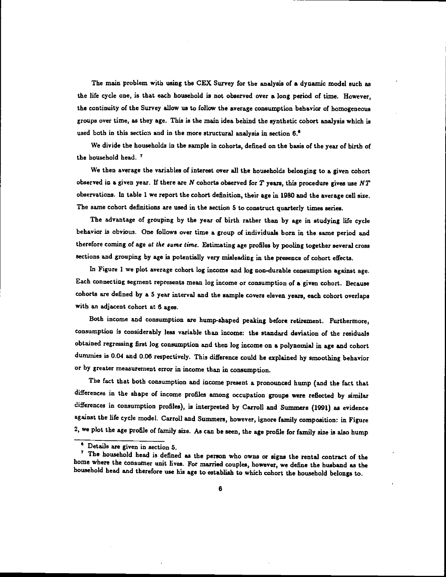The main problem with using the CEX Survey for the analysis of a dynamic model such as the life cycle one, is that each household is not observed over a long period of time. However, the continuity of the Survey allow us to follow the average consumption behavior of homogeneous groups over time, as they age. This is the main idea behind the synthetic cohort analysis which is used both in this section and in the more structural analysis in section  $6.6$ 

We divide the households in the sample in cohorts, defined on the basis of the year of birth of the household head.<sup>7</sup>

We then average the variables of interest over all the households belonging to a given cohort observed in a given year. If there are  $N$  cohorts observed for  $T$  years, this procedure gives use  $NT$ observations. In table 1 we report the cohort definition, their age in 1980 and the average cell size. The same cohort definitions are used in the section 5 to construct quarterly times series.

The advantage of grouping by the year of birth rather than by age in studying life cycle behavior is obvious. One follows over time a group of individuals born in the same period and therefore coming of age at the same time. Estimating age profiles by pooling together several cross sections and grouping by age is potentially very misleading in the presence of cohort effects.

In Figure 1 we plot average cohort log income and log non-durable consumption against age. Each connecting segment represents mean log income or consumption of a given cohort. Because cohorts are defined by a 5 year interval and the sample covers eleven years, each cohort overlaps with an adjacent cohort at 6 ages.

Both income and consumption are hump-shaped peaking before, retirement. Furthermore, consumption is considerably less variable than income: the standard deviation of the residuals obtained regressing first log consumption and then log income on a polynomial in age and cohort dummies is 0.04 and 0.06 respectively. This difference could he explained by smoothing behavior or by greater measurement error in income than in consumption.

The fact that both consumption and income present a pronounced hump (and the fact that differences in the shape of income profiles among occupation groups were reflected by similar differences in consumption profiles), is interpreted by Carroll and Summers (1991) as evidence against the life cycle model. Carroll and Summers, however, ignore family composition: in Figure 2, we plot the age profile of family size. As can be seen, the age profile for family size is also hump

<sup>•</sup> Details are given in section 5.

The household head is defined as the person who owns or signs the rental contract of the home where the consumer unit lives. For married couples, however, we define the husband as the household head and therefore use his age to establish to which cohort the household belongs to.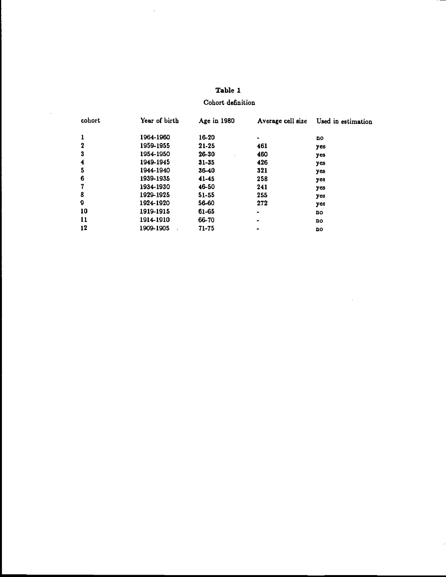| Table 1 |  |
|---------|--|
|---------|--|

 $\hat{\mathcal{A}}$ 

 $\hat{\mathcal{A}}$ 

Cohort definition

| cohort | Year of birth | Age in 1980 | Average cell size | Used in estimation |
|--------|---------------|-------------|-------------------|--------------------|
|        | 1964-1960     | 16-20       |                   | no                 |
| 2      | 1959-1955     | 21-25       | 461               | yes                |
| 3      | 1954-1950     | 26-30       | 460               | yes                |
| 4      | 1949-1945     | $31 - 35$   | 426               | yes                |
| 5      | 1944-1940     | $36 - 40$   | 321               | уев                |
| 6      | 1939-1935     | 41-45       | 258               | yes                |
|        | 1934-1930     | 46-50       | 241               | уев                |
| 8      | 1929-1925     | 51-55       | 255               | yes                |
| 9      | 1924-1920     | 56-60       | 272               | уев                |
| 10     | 1919-1915     | 61-65       |                   | no                 |
| 11     | 1914-1910     | 66-70       | ٠                 | no                 |
| 12     | 1909-1905     | 71-75       | ۰                 | no                 |

 $\sim$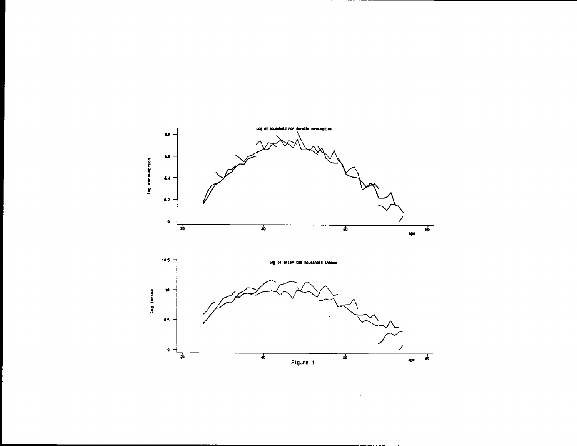

J.

\_\_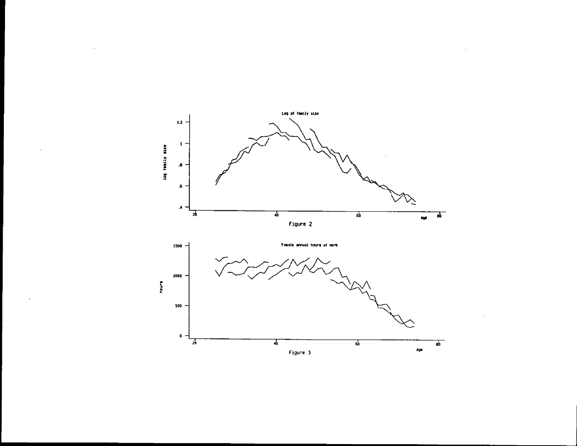

J.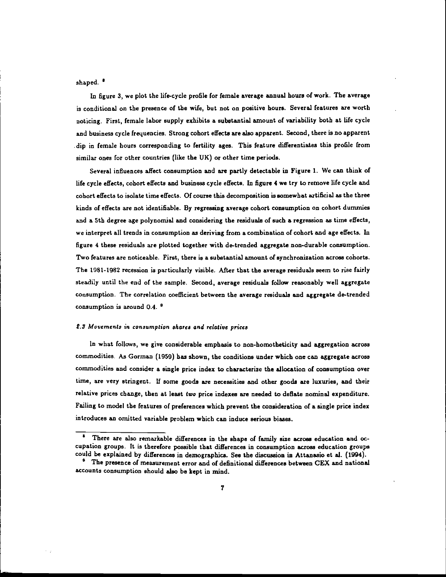shaped. '

In figure 3, we plot the life-cycle profile for female average annual hours of work. The average is conditional on the presence of the wife, but not on positive hours. Several features are worth noticing. First, female labor supply exhibits a substantial amount of variability both at life cycle and business cycle frequencies. Strong cohort effects are also apparent. Second, there is no apparent dip in female hours corresponding to fertility ages. This feature differentiates this profile from similar ones for other countries (like the UK) or other time periods.

Several influences affect consumption and are partly detectable in Figure 1. We can think of life cycle effects, cohort effects and business cycle effects. In figure 4 we try to remove life cycle and cohort effects to isolate time effects. Of course this decomposition is somewhat artificial as the three kinds of effects are not identifiable. By regressing average cohort consumption on cohort dummies and a 5th degree age polynomial and considering the residuals of such a regression as time effects, we interpret all trends in consumption as deriving from a combination of cohort and age effects. In figure 4 these residuals are plotted together with de-trended aggregate non-durable consumption. Two features are noticeable. First, there is a substantial amount of synchronization across cohorts. The 1981-1982 recession is particularly visible. After that the average residuals seem to rise fairly steadily until the end of the sample. Second, average residuals follow reasonably well aggregate consumption. The correlation coefficient between the average residuals and aggregate de-trended consumption is around 0.4.<sup>0</sup>

### 2.3 Movements in consumption shares and relative prices

In what follows, we give considerable emphasis to non-homotheticity and aggregation across commodities. As Gorman (1959) has shown, the conditions under which one can aggregate across commodities and consider a single price index to characterize the allocation of consumption over time, are very stringent. If some goods are necessities and other goods are luxuries, and their relative prices change, then at least two price indexes are needed to deflate nominal expenditure. Failing to model the features of preferences which prevent the consideration of a single price index introduces an omitted variable problem which can induce serious biases.

There are also remarkable differences in the shape of family size across education and occupation groups It is therefore possible that differences in consumption across education groups could be explained by differences in demographics. See the discussion in Attanaaio et al. (1994).

<sup>&</sup>lt;sup>o</sup> The presence of measurement error and of definitional differences between CEX and national accounts consumption should also be kept in mind.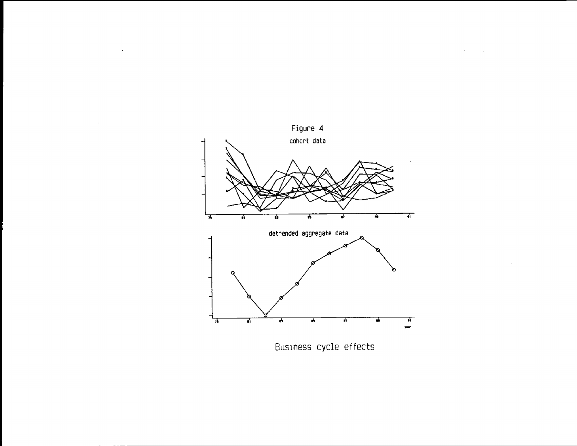

 $\sim$ 

J.

 $\sim 10^7$ 

 $\sim$ 

Business cycle effects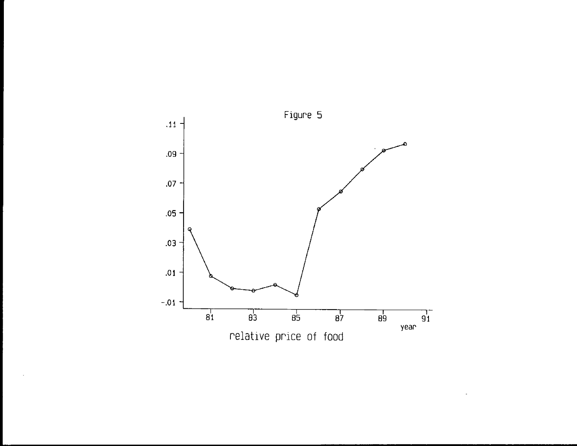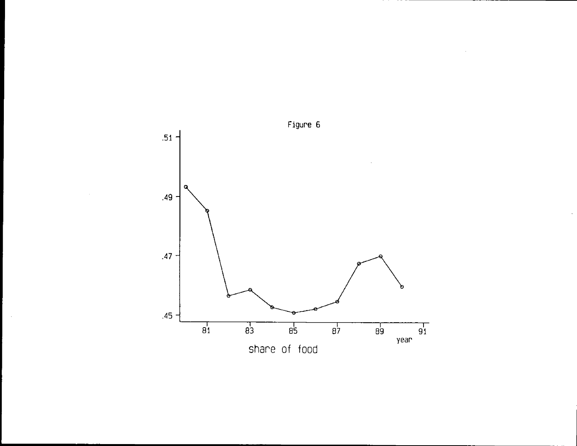

 $\sim$ 

 $\sim$   $\sim$ 

 $-$ 

 $\hat{\mathbf{r}}$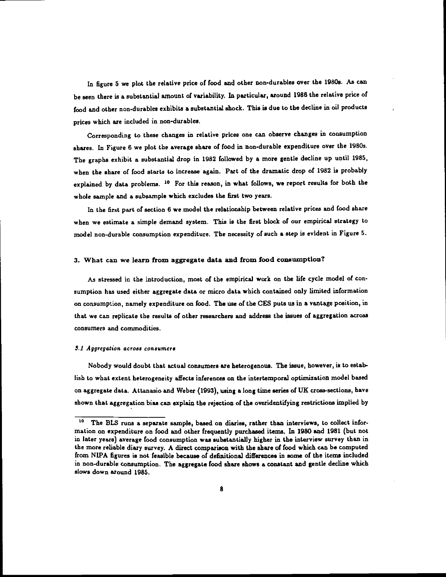In figure 5 we plot the relative price of food and other non-durables over the 1980s. As can be seen there is a substantial amount of variability. In particular, around 1986 the relative price of food and other non-durablee exhibits <sup>a</sup> substantial shock. This is due to the decline in oil products prices which are included in non-durablee.

Corresponding to these changes in relative prices one can observe changes in consumption shares. In Figure 6 we plot the average share of food in non-durable expenditure over the 1980s. The graphs exhibit a substantial drop in 1982 followed by a more gentle decline up until 1985, when the share of food starts to increase again. Part of the dramatic drop of 1982 is probably explained by data problems. <sup>10</sup> For this reason, in what follows, we report results for both the whole sample and a subsample which excludes the first two years.

In the first part of section 6 we modet the relationship between relative prices and food share when we estimate a simple demand system. This is the first block of our empirical strategy to model non-durable consumption expenditure. The necessity of such a step is evident in Figure 5.

#### 3. What can we learn from aggregate data and fromfood consumption?

As stressed in the introduction, most of the empirical work on the life cycle model of consumption has used either aggregate data or micro data which contained only limited information on consumption, namely expenditure on food. The use of the CES puts us in a vantage position, in that we can replicate the results of other researchers and address the issues of aggregation across consumers and commodities.

#### £1 Aggregation across consumers

Nobody would doubt that actual consumers are heterogenous. The issue, however, is to establish to what extent heterogeneity affects inferences on the intertemporal optimization model based on aggregate data. Attanasio and Weber (1993), using a long time series of UK cross-sections, have shown that aggregation bias can explain the rejection of the overidentifying restrictions implied by

<sup>&</sup>lt;sup>10</sup> The BLS runs a separate sample, based on diaries, rather than interviews, to collect information on expenditure on food and other frequently purchased items. In 1980 and 1981 (but not in later years) average food consumption was substantially higher in the interview survey than in the more reliable diary survey. A direct comparison with the share of food which can be computed from NIPA figures is not feasible because of definitional differences in some of the items included in non-durable consumption. The aggregate food share shows a constant and gentle decline which slows down around 1985.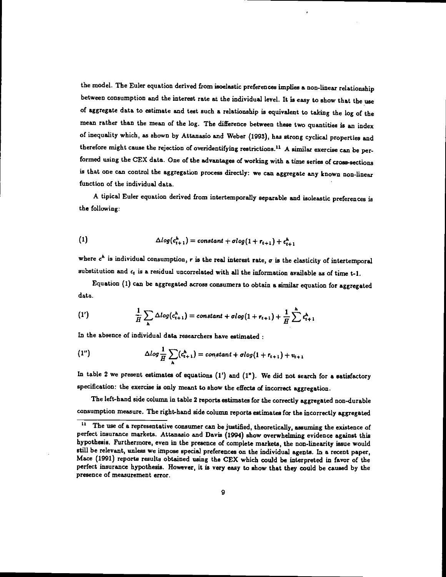the model. The Euler equation derived from isoelastic preferences implies a non-linear relationship between consumption and the interest rate at the individual level. It iseasy to show that the use of aggregate data to estimate and test such a relationship is equivalent to taking the log of the mean rather than the mean of the log. The difference between these two quantities is an index of inequality which, as shown by Attanasio and Weber (1993), has strong cyclical properties and therefore might cause the rejection of overidentifying restrictions.<sup>11</sup> A similar exercise can be performed using the CEX data. One of the advantages of working with a time series of cross-sections is that one can control the aggregation process directly: we can aggregate any known non-linear function of the individual data.

A tipical Euler equation derived from intertemporally separable and isoleastic preferences is the following:

(1) 
$$
\Delta log(c_{t+1}^h) = constant + dlog(1 + r_{t+1}) + \epsilon_{t+1}^h
$$

where  $c^h$  is individual consumption, r is the real interest rate,  $\sigma$  is the elasticity of intertemporal substitution and  $\epsilon_t$  is a residual uncorrelated with all the information available as of time t-1.

Equation (I) can be aggregated across consumers to obtain a similar equation for aggregated data.

(1') 
$$
\frac{1}{H}\sum_{h}\Delta log(c_{t+1}^{h}) = constant + \sigma log(1 + r_{t+1}) + \frac{1}{H}\sum_{t=1}^{h}c_{t+1}^{h}
$$

In the absence of individual data researchers have estimated

(1") 
$$
\Delta log \frac{1}{H} \sum_{\lambda} (c_{t+1}^{\lambda}) = constant + dlog(1 + r_{t+1}) + v_{t+1}
$$

In table 2 we present estimates of equations (1') and (1"). We did not search for a satisfactory specification: the exercise is only meant to show the effects of incorrect aggregation.

The left-hand side column in table 2 reports estimates for the correctly aggregated non-durable consumption measure. The right-hand side column reports estimates for the incorrectly aggregated  $\frac{11}{11}$ . The use of a representative consumer ann be instituted theoretically accurates the critician of

The use of a representative consumer can be justified, theoretically, assuming the existence of perfect insurance markets. Attanasio and Davis (1994) show overwhelming evidence against this hypothesis. Furthermore, even in the presence of complete markets, the non-linearity issue would still be relevant, unless we impose special preferences on the individual agents. In a recent paper, Mace (1991) reports results obtained using the CEX which could be interpreted in favor of the perfect insurance hypothesis. However, it is very easy to show that they could be caused by the presence of measurement error.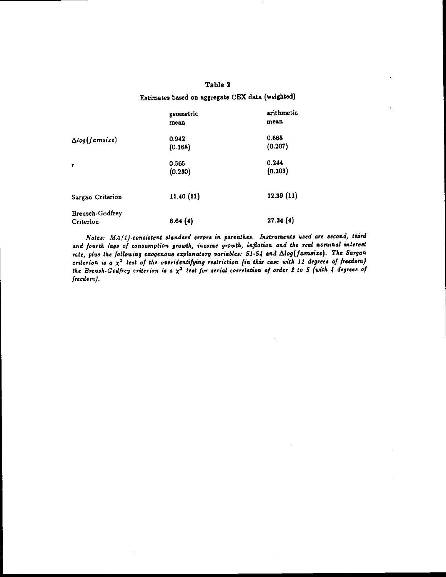## Table 2

## Estimates based on aggregate CEX data (weighted)

|                              | geometric<br>mean | arithmetic<br>mean |
|------------------------------|-------------------|--------------------|
| $\Delta log(famsize)$        | 0.942<br>(0.168)  | 0.668<br>(0.207)   |
| $\mathbf{r}$                 | 0.565<br>(0.230)  | 0.244<br>(0.303)   |
| Sargan Criterion             | 11.40(11)         | 12.39(11)          |
| Breusch-Godfrey<br>Criterion | 6.64(4)           | 27.34(4)           |

Notes: MA(1)-consistent standard errors in parenthes. Instruments used are second, third and fourth lags of consumption growth, income growth, inflation and the real nominal interest rate, plus the following exogenous explanatory variables:  $S1-S4$  and  $\Delta log(famsize)$ . The Sargan criterion is a  $\chi^2$  test of the overidentifying restriction (in this case with 11 degrees of freedom) the Breush Godfrey criterion is a  $\chi^2$  test for serial correlation of order 2 to 5 (with 4 degrees of freedom).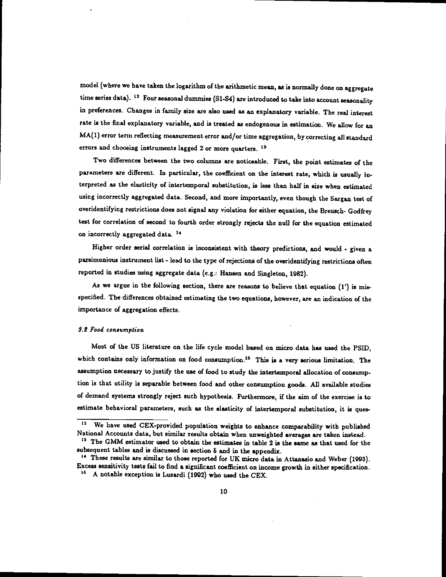model (where we have taken the logarithm of the arithmetic mean, as is normally doneon aggregate time series data). <sup>12</sup> Four seasonal dummies (S1-S4) are introduced to take into account seasonality in preferences. Changes in family size are also used as an explanatory variable. The real interest rate is the final explanatory variable, and is treated as endogenous in estimation. We allow for an MA(1) error term reflecting measurement error and/or time aggregation, by correcting all standard errors and choosing instruments lagged 2 or more quarters. <sup>13</sup>

Two differences between the two columns are noticeable. First, the point estimates of the parameters are different. In particular, the coefficient on the interest rate, which is usually interpreted as the elasticity of intertemporai substitution, is less than half in size when estimated using incorrectly aggregated data. Second, and more importantly, even though the Sargan test of overidentifying restrictions does not signal any violation for either equation, the Breusch- Godfrey test for correlation of second to fourth order strongly rejects the null for the equation estimated on incorrectly aggregated data.<sup>14</sup>

Higher order serial correlation is inconsistent with theory predictions, and would - given a parsimonious instrument list - lead to the type of rejections of the overidentifying restrictions often reported in studies using aggregate data (e.g.: Hansen and Singleton, 1982).

As we argue in the following section, there are reasons to believe that equation (1') is misspecified. The differences obtained estimating the two equations, however, are an indication of the importance of aggregation effects.

### 3.2 Food consumption

Most of the US literature on the life cycle model based on micro data has used the PSID, which contains only information on food consumption.<sup>16</sup> This is a very serious limitation. The assumption necessary to justify the use of food to study the intertemporal allocation of consumption is that utility is separable between food and other consumption goods. All available studies of demand systems strongly reject such hypothesis. Furthermore, if the aim of the exercise is to estimate behavioral parameters, such as the elasticity of intertemporal substitution, it is ques-

<sup>&</sup>lt;sup>12</sup> We have used CEX-provided population weights to enhance comparability with published National Accounts data, but similar results obtain when unweighted averages are taken instead.

<sup>&</sup>lt;sup>13</sup> The GMM estimator used to obtain the estimates in table 2 is the same as that used for the subsequent tables and is discussed in section & and in the appendix.

<sup>14</sup> These results are similar to those reported for UK micro data in Attanasio and Weber (1993). Excess sensitivity tests fail to find a significant coefficient on income growth in either specification.

A notable exception is Lusardi (1992) who used the CEX.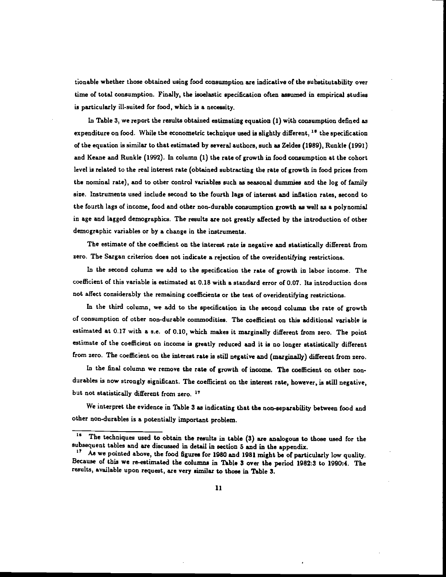tionable whether those obtained using food consumption are indicative of the substitutability over time of total consumption. Finally, the isoelastic specification often assumed in empirical studies is particularly ill-suited for food,which is a necessity.

In Table 3, we report the results obtained estimating equation (1) with consumption defined as expenditure on food. While the econometric technique used is slightly different,  $1<sup>d</sup>$  the specification of the equation is similar to that estimated by several authors, such as Zeldes (1989), Runkle (1991) and Keane and Runkle (1992). In column (1) the rate of growth in food consumption at the cohort level is related to the real interest rate (obtained subtracting the rate of growth in food prices from the nominal rate), and to other control variables such as seasonal dummies and the log of family size. Instruments used include second to the fourth lags of interest and inflation rates, second to the fourth lags of income, food and other non-durable consumption growth as well as a polynomial in age and lagged demographics. The results are not greatly affected by the introduction of other demographic variables or by a change in the instruments.

The estimate of the coefficient on the interest rate is negative and statistically different from zero. The Sargan criterion does not indicate a rejection of the overidentifying restrictions.

In the second column we add to the specification the rate of growth in labor income. The coefficient of this variable is estimated at 0.18 with a standard error of 0.07. Its introduction does not affect considerably the remaining coefficients or the test of overidentifying restrictions.

In the third column, we add to the specification in the second column the rate of growth of consumption of other non-durable commodities. The coefficient on this additional variable is estimated at 0.17 with a s.c. of 0.10, which makes it marginally different from zero. The point estimate of the coefficient on income is greatly reduced and it is no longer statistically different from zero. The coefficient on the interest rate is still negative and (marginally) different from zero.

In the final column we remove the rate of growth of income. The coefficient on other nondurables is now strongly significant. The coefficient on the interest rate, however, is still negative, but not statistically different from zero.<sup>17</sup>

We interpret the evidence in Table 3 as indicating that the non-separability between food and other non-durables is a potentially important problem.

 $16$ The techniques used to obtain the results in table (3) are analogous to those used for the subsequent tables and are discussed in detail in section 5 and in the appendix.

<sup>&</sup>lt;sup>17</sup> As we pointed above, the food figures for 1980 and 1981 might be of particularly low quality. Because of this we re-estimated the columns in Table 3 over the period 1982:3 to 1990:4. The results, available upon request, are very similar to those in Table 3.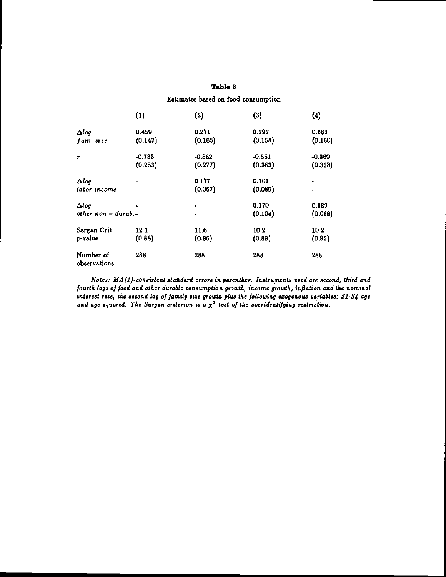## Table 3

Estimates based on food consumption

|                            | (1)      | (2)      | (3)      | (4)      |  |
|----------------------------|----------|----------|----------|----------|--|
| $\Delta log$               | 0.459    | 0.271    | 0.292    | 0.383    |  |
| fam. size                  | (0.142)  | (0.165)  | (0.158)  | (0.160)  |  |
| $\pmb{r}$                  | $-0.733$ | $-0.862$ | $-0.551$ | $-0.369$ |  |
|                            | (0.253)  | (0.277)  | (0.363)  | (0.323)  |  |
| $\Delta log$               |          | 0.177    | 0.101    |          |  |
| labor income               |          | (0.067)  | (0.089)  |          |  |
| $\Delta log$               |          |          | 0.170    | 0.189    |  |
| $other$ non $-$ durab. $-$ |          | ٠        | (0.104)  | (0.088)  |  |
| Sargan Crit.               | 12.1     | 11.6     | 10.2     | 10.2     |  |
| p-value                    | (0.88)   | (0.86)   | (0.89)   | (0.95)   |  |
| Number of<br>observations  | 288      | 288      | 288      | 288      |  |

Notes:  $MA(1)$ -consistent standard errors in parenthes. Instruments used are second, third and fourth lags of food and other durable consumption growth, income growth, inflation and the nominal interest rate, the second lag of family size growth plus the following exogenous variables:  $S1-S4$  age and age squared. The Sargan criterion is a  $\chi^2$  test of the overidentifying restriction.

 $\ddot{\phantom{0}}$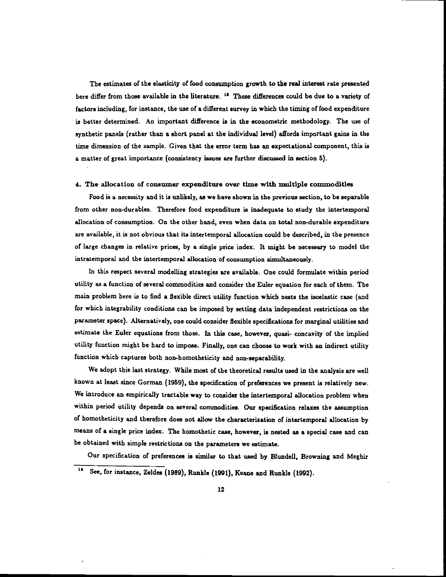The estimates of the elasticity of food consumption growth to the real interest rate presented here differ from those available in the literature. <sup>18</sup> These differences could be due to a variety of factors including, for instance, the use of a different survey in which the timing of food expenditure is better determined. An important difference is in the econometric methodology. The use of synthetic panels (rather than a short panel at the individual level) affords important gains in the time dimension of the sample. Given that the error term has an expectational component, this is a matter of great importance (consistency issues are further discussed in section 5).

#### 4. The allocation of consumer expenditure over time with multiple commodities

Food is a necessity and it is unlikely, as we have shown in the previous section, to be separable from other non-durables. Therefore food expenditure is inadequate to study the intertemporal allocation of consumption. On the other hand, even when data on total non-durable expenditure are available, it is not obvious that its intertemporal allocation could be described, in the presence of large changes in relative prices, by a single price index. It might be necessary to model the intratemporal and the intertemporal allocation of consumption simultaneously.

In this respect several modelling strategies are available. One could formulate within period utility as a function of several commodities and consider the Euler equation for each of them. The main problem here is to find a flexible direct utility function which nests the isoelastic case (and for which integrability conditions can be imposed by setting data independent restrictions on the parameter space). Alternatively, one could consider flexible specifications for marginal utilities and estimate the Euler equations from those. In this case, however, quasi- concavity of the implied utility function might be hard to impose. Finally, one can choose to work with an indirect utility function which captures both non-homotheticity and non-separability.

We adopt this last strategy. While most of the theoretical results used in the analysis are well known at least since Gorrnan (1959), the specification of preferences we present is relatively new. We introduce an empirically tractable way to consider the intertemporal allocation problem when within period utility depends on several commodities. Our specification relaxes the assumption of homotheticity and therefore does not allow the characterization of intertemporal allocation by means of a single price index. The homothetic case, however, is nested as a special case and can be obtained with simple restrictions on the parameters we estimate.

Our specification of preferences is similar to that used by Blundell, Browning and Meghir

<sup>18</sup> See, for instance, Zeldes (1989), Runkle (1991), Keane and Runkle (1992).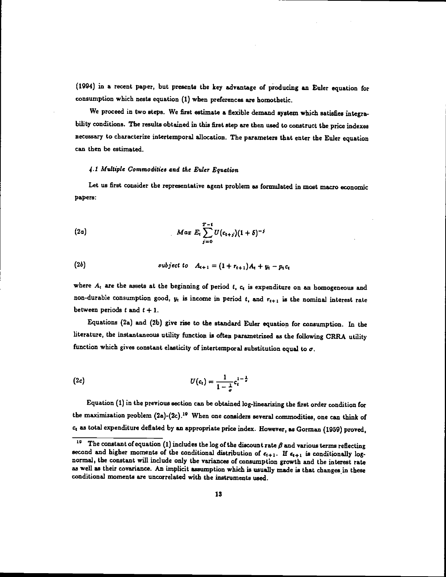(1994) in a recent paper, but presents the key advantage of producing an Euler equation for consumption which nests equation (I) when preferences are homothetic.

We proceed in two steps. We first estimate a flexible demand system which satisfies integrability conditions. The results obtained in this first step are then used to construct the, price indexes necessary to characterize intertemporal allocation. The parameters that enter the Euler equation can then be estimated.

#### 4.1 Multiple Commodities and the Euler Equation

Let us first consider the representative agent problem as formulated in most macro economic papers:

(2a) 
$$
Max E_t \sum_{i=0}^{T-t} U(c_{t+j})(1+\delta)^{-i}
$$

(2b) subject to 
$$
A_{t+1} = (1 + r_{t+1})A_t + y_t - p_t c_t
$$

where  $A_t$  are the assets at the beginning of period  $t$ ,  $c_t$  is expenditure on an homogeneous and non-durable consumption good,  $y_t$  is income in period  $t$ , and  $r_{t+1}$  is the nominal interest rate between periods  $t$  and  $t + 1$ .

Equations (2a) and (2b) give rise to the standard Euler equation for consumption. In the literature, the instantaneous utility function is often parametrized as the following CRRA utility function which gives constant elasticity of intertemporal substitution equal to  $\sigma$ .

(2c) 
$$
U(c_t) = \frac{1}{1-\frac{1}{\epsilon}}c_t^{1-\frac{1}{\epsilon}}
$$

Equation (1) in the previous section can be obtained log-linearizing the first order condition for the maximization problem  $(2a)-(2c).^{19}$  When one considers several commodities, one can think of as total expenditure deflated by an appropriate price index. However, as Gorman (1959) proved,

<sup>&</sup>lt;sup>19</sup> The constant of equation (1) includes the log of the discount rate  $\beta$  and various terms reflecting second and higher moments of the conditional distribution of  $\epsilon_{t+1}$ . If  $\epsilon_{t+1}$  is conditionally lognormal, the constant will include only the variances of consumption growth and the interest rate as well as their covariance. An implicit assumption which is usually made is that changes in these conditional moments are uncorrelated with the instruments used.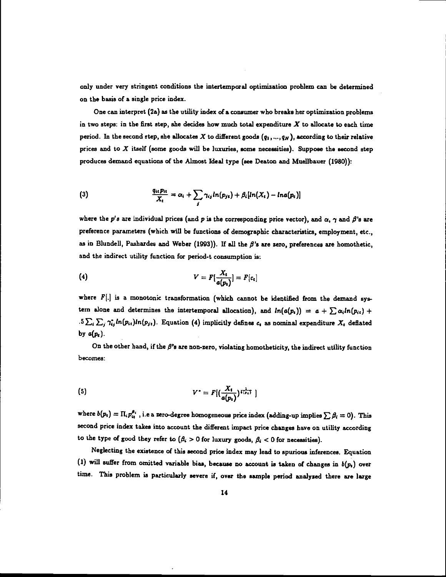only under very stringent conditions the intertemporal optimization problem can be determined on the basis of a single price index.

One can interpret (2a) as the utility index of a consumer who breaks her optimization problems in two steps: in the first step, she decides how much total expenditure  $X$  to allocate to each time period. In the second step, she allocates X to different goods  $(q_1, ..., q_N)$ , according to their relative prices and to  $X$  itself (some goods will be luxuries, some necessities). Suppose the second step produces demand equations of the Almost Ideal type (see Deaton and Mueilbauer (1980)):

(3) 
$$
\frac{q_{it}p_{it}}{X_t} = \alpha_i + \sum_j \gamma_{ij} ln(p_{jt}) + \beta_i [ln(X_t) - ln(a(p_t)]
$$

where the p's are individual prices (and p is the corresponding price vector), and  $\alpha$ ,  $\gamma$  and  $\beta$ 's are preference parameters (which will be functions of demographic characteristics, employment, etc., as in Blundell, Pashardes and Weber (1993)). If all the  $\beta$ 's are zero, preferences are homothetic, and the indirect utility function for period-t consumption is:

$$
(4) \hspace{1cm} V = F\left[\frac{X_t}{a(p_i)}\right] = F[c_t]
$$

where  $F[.]$  is a monotonic transformation (which cannot be identified from the demand system alone and determines the intertemporal allocation), and  $ln(a(p_i)) = a + \sum \alpha_i ln(p_{ii}) +$ .5  $\sum_i \sum_j \gamma_{ij}^* ln(p_{i}t) ln(p_{jt})$ . Equation (4) implicitly defines  $c_i$  as nominal expenditure  $X_i$  deflated by  $a(p_i)$ .

On the other hand, if the  $\beta$ 's are non-zero, violating homotheticity, the indirect utility function becomes:

(5) 
$$
V^* = F[(\frac{X_t}{a(p_t)})^{\frac{1}{t(p_t)}}]
$$

where  $b(p_i) = \prod_i p_{ii}^{\beta_i}$ , i.e a zero-degree homogeneous price index (adding-up implies  $\sum_i \beta_i = 0$ ). This second price index takes into account the different impact price changes have on utility according to the type of good they refer to  $(\beta_i > 0$  for luxury goods,  $\beta_i < 0$  for necessities).

Neglecting the existence of this second price index may lead to spurious inferences. Equation (1) will suffer from omitted variable bias, because no account is taken of changes in  $b(p_i)$  over time. This problem is particularly severe if, over the sample period analyzed there are large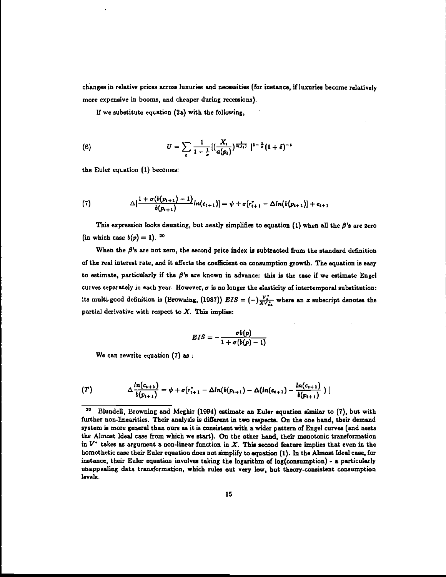changes in relative prices across luxuries and necessities (for instance, if luxuries become relatively more expensive in booms, and cheaper during recessions).

If we substitute equation (2a) with the following,

(6) 
$$
U = \sum_{t} \frac{1}{1 - \frac{1}{\sigma}} [(\frac{X_t}{a(p_t)})^{\frac{1}{k(p_t)}}]^{1 - \frac{1}{\sigma}} (1 + \delta)^{-t}
$$

the Euler equation (1) becomes:

(7) 
$$
\Delta[\frac{1+\sigma(b(p_{t+1})-1)}{b(p_{t+1})}ln(c_{t+1})] = \psi + \sigma[r_{t+1}^* - \Delta ln(b(p_{t+1})] + c_{t+1})
$$

This expression looks daunting, but neatly simplifies to equation (1) when all the  $\beta$ 's are zero (in which case  $b(p) = 1$ ). <sup>20</sup>

When the  $\beta$ 's are not zero, the second price index is subtracted from the standard definition of the real interest rate, and it affects the coefficient on consumption growth. The equation is easy to estimate, particularly if the  $\beta$ 's are known in advance: this is the case if we estimate Engel curves separately in each year. However,  $\sigma$  is no longer the elasticity of intertemporal substitution: its multi-good definition is (Browning, (1987))  $EIS = (-)\frac{V_s}{X V_s}$  where an x subscript denotes the partial derivative with respect to  $X$ . This implies:

$$
EIS=-\frac{\sigma b(p)}{1+\sigma(b(p)-1)}
$$

We can rewrite equation (7) as:

(7') 
$$
\Delta \frac{ln(c_{t+1})}{b(p_{t+1})} = \psi + \sigma[r_{t+1}^* - \Delta ln(b(p_{t+1}) - \Delta(ln(c_{t+1}) - \frac{ln(c_{t+1})}{b(p_{t+1})})]
$$

<sup>3°</sup> Blundell, Browning and Meghir (1994) estimate an Euler equation similar to (7), but with further non-linearities. Their analysis is different in two respects. On the one hand, their demand system is more general than ours as it is consistent with a wider pattern of Engel curves (and nests the Almost Ideal case from which we start). On the other hand, their monotonic transformation in  $V^*$  takes as argument a non-linear function in X. This second feature implies that even in the homothetic case their Euler equation does not simplify to equation (1). In the Almost Ideal case, for instance, their Euler equation involves taking the logarithm of log(consumption) - a particularly unappealing data transformation, which rules out very low, but theory-consistent consumption levels.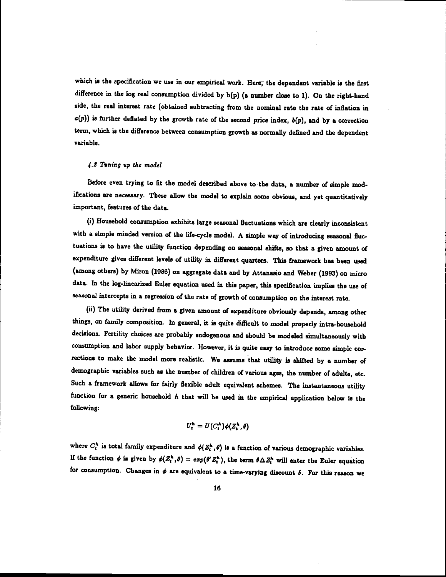which is the specification we use in our empirical work. Here, the dependent variable is the first difference in the log real consumption divided by b(p) (a number close to 1). On the right-hand side, the real interest rate (obtained subtracting from the nominal rate the rate of inflation in  $a(p)$ ) is further deflated by the growth rate of the second price index,  $b(p)$ , and by a correction term, which is the difference between consumption growth as normally defined and the dependent variable.

### 4.2 Tuning up the model

Before even trying to fit the model described above to the data, a number of simple modifications are necessary. These allow the model to explain some obvious, and yet quantitatively important, features of the data.

(1) Household consumption exhibits large seasonal fluctuations which are clearly inconsistent with a simple minded version of the life-cycle model. A simple way of introducing seasonal fluctuations is to have the utility function depending on seasonal shifts, so that a given amount of expenditure gives different levels of utility in different quarters. This framework has been used (among others) by Miron (1986) on aggregate data and by Attanasio and Weber (1993) on micro data. In the log-linearized Euler equation used in this paper, this specification implies the use of seasonal intercepts in a regression of the rate of growth of consumption on the interest rate.

(ii) The utility derived from a given amount of expenditure obviously depends, among other things, on family composition. In general, it is quite difficult to model properly intra-household decisions. Fertility choices are probably endogenous and should be modeled simultaneously with consumption and labor supply behavior. However, it is quite easy to introduce some simple corrections to make the model more realistic. We assume that utility is shifted by a number of demographic variables such as the number of children of various ages, the number of adults, etc. Such a framework allows for fairly flexible adult equivalent schemes. The instantaneous utility function for a generic household  $h$  that will be used in the empirical application below is the following:

$$
U_t^h = U(C_i^h)\phi(Z_t^h,\theta)
$$

where  $C_t^h$  is total family expenditure and  $\phi(Z_t^h, \theta)$  is a function of various demographic variables. If the function  $\phi$  is given by  $\phi(Z_t^h,\theta) = exp(\theta' Z_t^h)$ , the term  $\theta \Delta Z_t^h$  will enter the Euler equation for consumption. Changes in  $\phi$  are equivalent to a time-varying discount  $\delta$ . For this reason we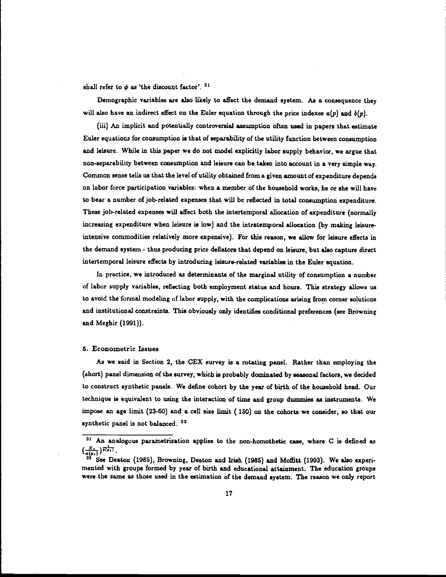shall refer to  $\phi$  as 'the discount factor'.  $^{21}$ 

Demographic variables are also likely to affect the demand system. As a consequence they will also have an indirect effect on the Euler equation through the price indexes  $a(p)$  and  $b(p)$ .

(iii) An implicit and potentially controversial assumption often used in papers that estimate Euler equations for consumption is that of separability of the utility function between consumption and leisure. While in this paper we do not model explicitly labor supply behavior, we argue that non-separability between consumption and leisure can be taken into account in a very simple way. Common sense tells us that the level of utility obtained from a given amount of expenditure depends on labor force participation variables: when a member of the household works, he or she will have to bear a number of job-related expenses that will be reflected in total consumption expenditure. These job-related expenses will affect both the intertemporal allocation of expenditure (normally increasing expenditure when leisure is low) and the intratemporal allocation (by making leisureintensive commodities relatively more expensive). For this reason, we allow for leisure effects in the demand system - thus producing price deflators that depend on leisure, but also capture direct intertemporal leisure effects by introducing leisure-related variables in the Euler equation.

In practice, we introduced as determinants of the marginal utility of consumption a number of labor supply variables, reflecting both employment status and hours. This strategy allows us to avoid the formal modeling of labor supply, with the complications arising from corner solutions and institutional constraints. This obviously only identifies conditional preferences (see Browning and Meghir (1991)).

### 5. Econometric Issues

As we said in Section 2, the CEX survey is a rotating panel. Rather than employing the (short) panel dimension of the survey, which is probably dominated by seasonal factors, we decided to construct synthetic panels. We define cohort by the year of birth of the household head. Our technique is equivalent to using the interaction of time and group dummies as instruments. We impose an age limit (23-60) and a cell size limit (150) on the cohorts we consider, so that our synthetic panel is not balanced.<sup>22</sup>

<sup>&</sup>lt;sup>21</sup> An analogous parametrization applies to the non-homothetic case, where C is defined as  $\left(\frac{X_{k}}{a(p_1)}\right)^{\frac{1}{k(p_1)}}$ .<br>
<sup>22</sup> See Desta (1985), Benuning Desta and light (1985) and MeEtt (1992). We also superi

See Deaton (1985), Browning, Deaton and Irish (1985) and Moffitt (1993). We also experimented with groups formed by year of birth and educational attainment. The education groups were the same as those used in the estimation of the demand system. The reason we only report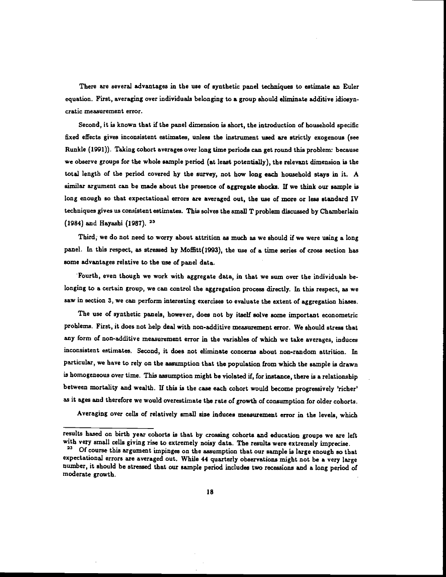There are several advantages in the use of synthetic panel techniques to estimate an Euler equation. First, averaging over individuals belonging to a group should eliminate additive idiosyncratic measurement error.

Second, it is known that if the panel dimension is short, the introduction of household specific fixed effects gives inconsistent estimates, unless the instrument used are strictly exogenous (see Runkle (1991)). Taking cohort averages over long time periods can get round this problem: because we observe groups for the whole sample period (at least potentially), the relevant dimension is the total length of the period covered by the survey, not how long each household stays in it. A similar argument can be made about the presence of aggregate shocks. If we think our sample is long enough so that expectational errors are averaged out, the use of more or less standard IV techniques gives us consistent estimates. This solves the small T problem discussed by Chamberlain (1984) and Hayashi (1987).

Third; we do not need to worry about attrition as much as we should if we were using a long panel. In this respect, as stressed by Moffitt(1993), the use of a time series of cross section has some advantages relative to the use of panel data.

Fourth, even though we work with aggregate data, in that we sum over the individuals belonging to a certain group, we can control the aggregation process directly. In this respect, as we saw in section 3, we can perform interesting exercises to evaluate the extent of aggregation biases.

The use of synthetic panels, however, does not by itself solve some important econometric problems. First, it does not help deal with non-additive measurement error. We should stress that any form of non-additive measurement error in the variables of which we take averages, induces inconsistent estimates. Second, it does not eliminate concerns about non-random attrition. In particular, we have to rely on the assumption that the population from which the sample is drawn is homogeneous over time. This assumption might be violated if, for instance, there is a relationship between mortality and wealth. If this is the case each cohort would become progressively 'richer' as it ages and therefore we would overestimate the rate of growth of consumption for older cohorts.

Averaging over cells of relatively small size induces measurement error in the levels, which

results based on birth year cohorts is that by crossing cohorts and education groups we are left with very small cells giving rise to extremely noisy data. The results were extremely imprecise.

<sup>&</sup>lt;sup>23</sup> Of course this argument impinges on the assumption that our sample is large enough so that expectational errors are averaged out. While 44 quarterly observations might not be a very large number, it should be stressed that our sample period includes two recessions and a long period of moderate growth.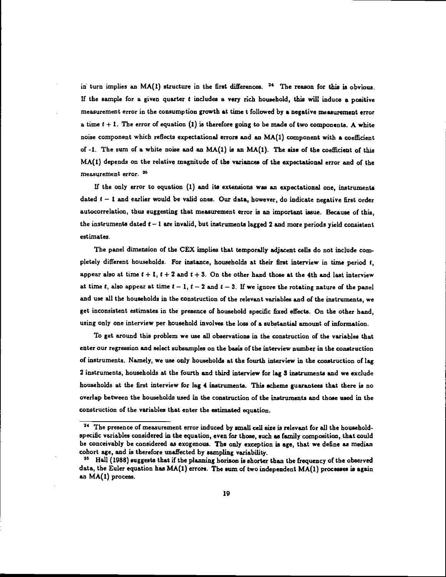in turn implies an  $MA(1)$  structure in the first differences. <sup>24</sup> The reason for this is obvious. If the sample for a given quarter  $t$  includes a very rich household, this will induce a positive measurement error in the consumption growth at time t followed by a negative measurement error a time  $t + 1$ . The error of equation (1) is therefore going to be made of two components. A white noise component which reflects expectational errors and an MA(l) component with a coefficient of -1. The sum of a white noise and an MA(1) is an MA(l). The size of the coefficient of this MA(l) depends on the relative magnitude of the variances of the expectational error and of the measurement error.

if the only error to equation (1) and its extensions was an expectational one, instruments dated  $t - 1$  and earlier would be valid ones. Our data, however, do indicate negative first order autocorrelation, thus suggesting that measurement error is an important issue. Because of this, the instruments dated  $t - 1$  are invalid, but instruments lagged 2 and more periods yield consistent estimates.

The panel dimension of the CEX implies that temporally adjacent cells do not include completely different households. For instance, households at their first interview in time period t, appear also at time  $t + 1$ ,  $t + 2$  and  $t + 3$ . On the other hand those at the 4th and last interview at time t, also appear at time  $t - 1$ ,  $t - 2$  and  $t - 3$ . If we ignore the rotating nature of the panel and use all the households in the construction of the relevant variables and of the instruments, we get inconsistent estimates in the presence of household specific fixed effects. On the other hand, using only one interview per household involves the loss of a substantial amount of information.

To get around this problem we use all observations in the construction of the variables that enter our regression and select subsamples on the basis of the interview number in the construction of instruments. Namely, we use only households at the fourth interview in the construction of lag 2 instruments, households at the fourth and third interview for lag 3 instruments and we exclude households at the first interview for lag 4 instruments. This scheme guarantees that there is no overlap between the households used in the construction of the instruments and those used in the construction of the variables that enter the estimated equation.

<sup>&</sup>lt;sup>24</sup> The presence of measurement error induced by small cell size is relevant for all the householdspecific variables considered in the equation, even for those, such as family composition, that could be conceivably be considered as exogenous. The only exception is age, that we define as median cohort age, and is therefore unaffected by sampling variability.

Hall (1988) suggests that if the planning horizon is shorter than the frequency of the observed data, the Euler equation has  $MA(1)$  errors. The sum of two independent  $MA(1)$  processes is again an MA(1) process.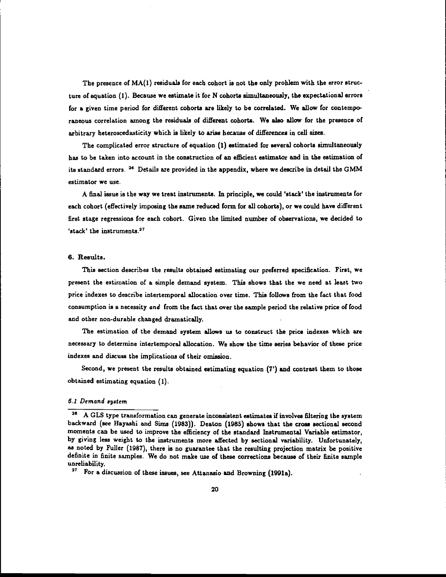The presence of  $MA(1)$  residuals for each cohort is not the only problem with the error structure of equation (1). Because we estimate it for N cohorts simultaneously, the expectational errors for a given time period for different cohorts are likely to be correlated. We allow for contemporaneous correlation among the residuals of different cohorts. We also allow for the presence of arbitrary heteroscedasticity which is likely to arise because of differences in cell sizes.

The complicated error structure of equation (1) estimated for several cohorts simultaneously has to be taken into account in the construction of an efficient estimator and in the estimation of its standard errors. 26 Details are provided in the appendix, where we describe in detail the GMM estimator we use.

A final issue is the way we treat instruments. In principle, we could 'stack' the instruments for each cohort (effectively imposing the same reduced form for all cohorts), or we could have different first stage regressions for each cohort. Given the limited number of observations, we decided to 'stack' the instruments.<sup>27</sup>

### 6. Results.

This section describes the results obtained estimating our preferred specification. First, we present the estimation of a simple demand system. This shows that the we need at least two price indexes to describe intertemporal allocation over time. This follows from the fact that food consumption is a necessity and from the fact that over the sample period the relative price of food and other non-durable changed dramatically.

The estimation of the demand system allows us to construct the price indexes which are necessary to determine intertemporal allocation. We show the time series behavior of these price indexes and discuss the implications of their omission.

Second, we present the results obtained estimating equation (7') and contrast them to those obtained estimating equation (1).

### 5.1 Demand system

<sup>&</sup>lt;sup>26</sup> A GLS type transformation can generate inconsistent estimates if involves filtering the system backward (see Hayashi and Sims (1983)). Deaton (1985) shows that the cross sectional second moments can be used to improve the efficiency of the standard Instrumental Variable estimator, by giving less weight to the instruments more affected by sectional variability. Unfortunately, as noted by Fuller (1987), there is no guarantee that the resuJting projection matrix be positive definite in finite samples. We do not make use of these corrections because of their finite sample unreliability.

<sup>&</sup>lt;sup>27</sup> For a discussion of these issues, see Attanasio and Browning (1991a).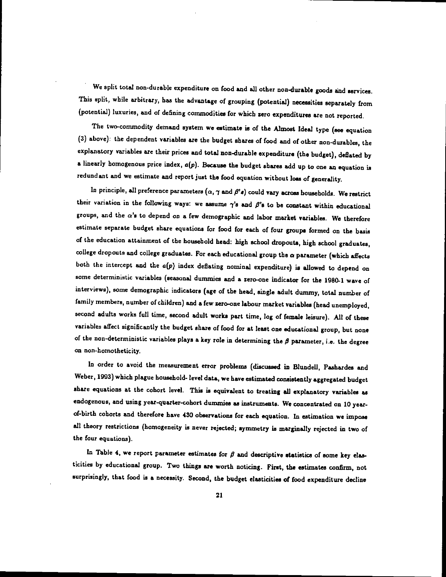We split total non-durable expenditure on food and all other non-durable goods and services. This split, while arbitrary, has the advantage of grouping (potential) necessities separately from (potential) luxuries, and of defining commodities for which zero expenditures are not reported.

The two-commodity demand system we estimate is of the Almost Ideal type (see equation (3) above): the dependent variables are the budget shares of food and of other non-durables, the explanatory variables are their prices and total non-durable expenditure (the budget), deflated by a linearly homogenous price index,  $a(p)$ . Because the budget shares add up to one an equation is redundant and we estimate and report just the food equation without loss of generality.

In principle, all preference parameters  $(\alpha, \gamma$  and  $\beta's)$  could vary across households. We restrict their variation in the following ways: we assume  $\gamma'$ s and  $\beta'$ s to be constant within educational groups, and the  $\alpha'$ s to depend on a few demographic and labor market variables. We therefore estimate separate budget share equations for food for each of four groups formed on the basis of the education attainment of the household head: high school dropouts, high school graduates, college dropouts and college graduates. For each educational group the a parameter (which affects both the intercept and the  $a(p)$  index deflating nominal expenditure) is allowed to depend on some deterministic variables (seasonal dummies and a zero-one indicator for the 1980-1 wave of interviews), some demographic indicators (age of the head, single adult dummy, total number of family members, number of children) and a few zero-one labour market variables (head unemployed, second adults works full time, second adult works part time, log of female leisure). Al! of these variables affect significantly the budget share of food for at least one educational group, but none of the non-deterministic variables plays a key role in determining the  $\beta$  parameter, i.e. the degree on non-homotheticity.

In order to avoid the measurement error problems (discussed in Blundell, Pashardes and Weber, 1993) which plague household- level data, we have estimated consistently aggregated budget share equations at the cohort level. This is equivalent to treating all explanatory variables as endogenous, and using year-quarter-cohort dummies as instruments. We concentrated on 10 yearof-birth cohorts and therefore have 430 observations for each equation. In estimationwe impose all theory restrictions (homogeneity is never rejected; symmetry is marginally rejected in two of the four equations).

In Table 4, we report parameter estimates for  $\beta$  and descriptive statistics of some key elasticities by educational group. Two things are worth noticing. First, the estimates confirm, not surprisingly, that food is a necessity. Second, the budget elasticities of food expenditure decline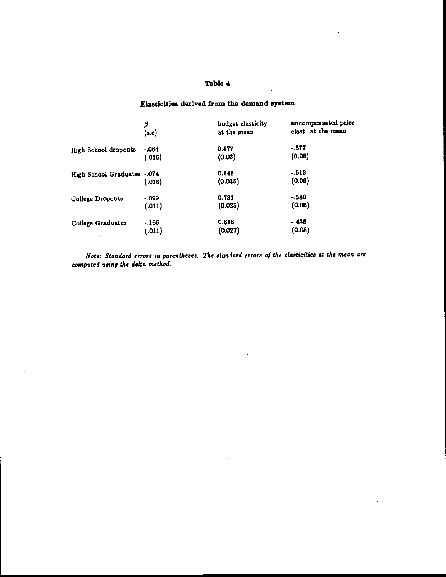# Table 4

# Elasticities derived from the demand system

|                              | β       | budget elasticity | uncompensated price |
|------------------------------|---------|-------------------|---------------------|
|                              | (s.e)   | at the mean       | elast. at the mean  |
| High School dropouts         | $-064$  | 0.877             | $-577$              |
|                              | (.016)  | (0.03)            | (0.06)              |
| High School Graduates -. 074 | (.016)  | 0.841<br>(0.035)  | $-513$<br>(0.06)    |
| College Dropouts             | $-.099$ | 0.781             | $-.580$             |
|                              | (.011)  | (0.025)           | (0.06)              |
| College Graduates            | $-166$  | 0.616             | $-438$              |
|                              | (.011)  | (0.027)           | (0.08)              |

Note: Standard errors in parentheses. The standard errors of the elasticities at the mean are computed using the delta method.

 $\bar{z}$ 

 $\mathcal{A}$ 

J.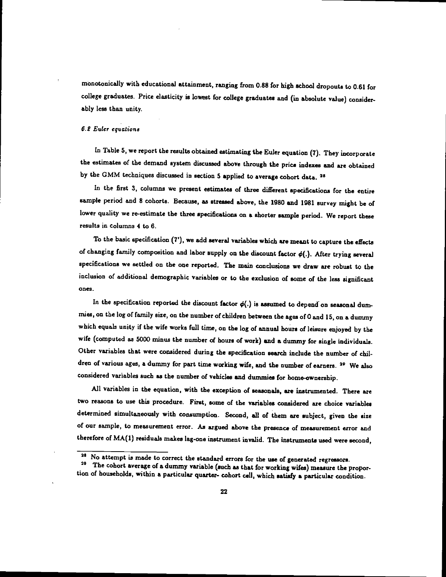monotonically with educational attainment, ranging from 0.88 for high school dropouts to 0.61 for college graduates. Price elasticity is lowest for college graduates and (in absolute value) considerably less than unity.

### 6.2 Euler equations

In Table 5, we report the results obtained estimating the Euler equation (7). They incorporate the estimates of the demand system discussed above through the price indexes and are obtained by the GMM techniques discussed in section 5 applied to average cohort data.<sup>25</sup>

In the first 3, columns we present estimates of three different specifications for the entire sample period and 8 cohorts. Because, as stressed above, the 1980 and 1981 survey might be of lower quality we re-estimate the three specifications on a shorter sample period. We report these results in columns 4 to 6.

To the basic specification (7'), we add several variables which are meant tocapture the effects of changing family composition and labor supply on the discount factor  $\phi(.)$ . After trying several specifications we settled on the one reported. The main conclusions we draw are robust to the inclusion of additional demographic variables or to the exclusion of some of the less significant ones.

In the specification reported the discount factor  $\phi(.)$  is assumed to depend on seasonal dummies, on the log of family size, on the number of children between the ages of 0 and 15, on a dummy which equals unity if the wife works full time, on the log of annual hours of leisure enjoyed by the wife (computed as 5000 minus the number of hours of work) and a dummy for single individuals. Other variables that were considered during the specification search include the number of children of various ages, a dummy for part time working wife, and the number of earners. <sup>29</sup> We also considered variables such as the number of vehicles and dummies for home-ownership.

All variables in the equation, with the exception of seasonals, are instrumented. There are two reasons to use this procedure. First, some of the variables considered are choice variables determined simultaneously with consumption. Second, all of them are subject, given the size of our sample, to measurement error. As argued above the presence of measurement error and therefore of MA(l) residuals makes lag-one instrument invalid. The instruments used were second,

<sup>25</sup> No attempt is made to correct the standarderrors for the use of generated regressors.

The cohort average of a dummy variable (such as that for working wifes) measure the proportion of households, within a particular quarter- cohort cell, which satisfy a particular condition.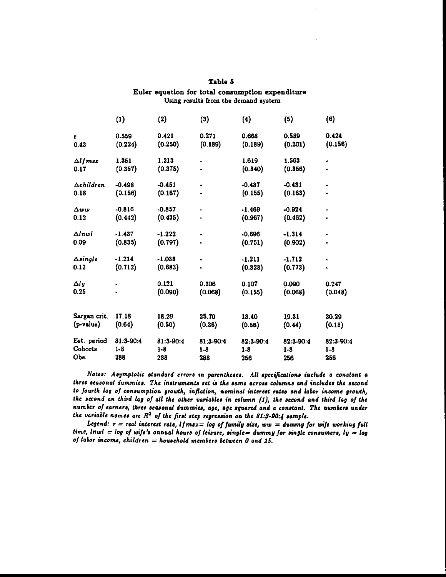|                    | $\left(1\right)$ | (2)       | (3)                 | (4)       | (5)       | (6)       |
|--------------------|------------------|-----------|---------------------|-----------|-----------|-----------|
| г.                 | 0.559            | 0.421     | 0.271               | 0.668     | 0.589     | 0.424     |
| 0.43               | (0.224)          | (0.250)   | (0.189)             | (0.189)   | (0.201)   | (0.156)   |
| $\Delta$ ljmsz     | 1.351            | 1.213     |                     | 1.619     | 1.563     |           |
| 0.17               | (0.357)          | (0.375)   |                     | (0.340)   | (0.356)   |           |
| $\Delta$ children  | $-0.498$         | $-0.451$  |                     | $-0.487$  | $-0.431$  |           |
| 0.18               | (0.156)          | (0.167)   |                     | (0.155)   | (0.163)   |           |
| Δωω                | $-0.816$         | $-0.857$  |                     | $-1.469$  | $-0.924$  |           |
| 0.12               | (0.442)          | (0.435)   |                     | (0.967)   | (0.462)   | ٠         |
| $\Delta$ inwi      | $-1.437$         | $-1.222$  | $\hat{\phantom{a}}$ | $-0.696$  | $-1.314$  | ٠         |
| 0.09               | (0.835)          | (0.797)   |                     | (0.751)   | (0.902)   |           |
| $\triangle$ single | $-1.214$         | $-1.038$  |                     | $-1.211$  | $-1.712$  |           |
| 0.12               | (0.712)          | (0.683)   |                     | (0.828)   | (0.773)   | ۰         |
| Δly                |                  | 0.121     | 0.306               | 0.107     | 0.090     | 0.247     |
| 0.25               |                  | (0.090)   | (0.068)             | (0.155)   | (0.068)   | (0.048)   |
| Sargan crit.       | 17.18            | 18.29     | 25.70               | 18.40     | 19.31     | 30.29     |
| $(p-value)$        | (0.64)           | (0.50)    | (0.36)              | (0.56)    | (0.44)    | (0.18)    |
| Est period         | 81:3-90:4        | 81:3-90:4 | 81:3-90:4           | 82:3-90:4 | 82:3-90:4 | 82:3-90.4 |
| Cohorts            | $1 - 8$          | $1 - 8$   | $1-8$               | $1 - 8$   | $1 - 8$   | $1-8$     |
| Obs.               | 288              | 288       | 288                 | 256       | 256       | 256       |

| Euler equation for total consumption expenditure |  |
|--------------------------------------------------|--|
| Using results from the demand system             |  |

Table 5

Notes: Asymptotic standard errors in parentheses. All specifications include a constant a three seasonal dummies. The instruments set is the same across columns and includes the second to fourth lag of consumption growth, inflation, nominal interest rates and labor income growth, the second an third lag of all the other variables in column (1), the second and third lag of the number of earners, three seasonal dummies, age, age squared and a constant. The numbers under the variable names are  $R^2$  of the first step regression on the 81:3-90:4 sample.

Legend:  $r =$  real interest rate,  $l$  f  $msz = log$  of family size, ww = dummy for wife working full time, lnwl = log of wife's annual hours of leisure, single= dummy for single consumers, ly = log of labor income, children = household members between 0 and 15.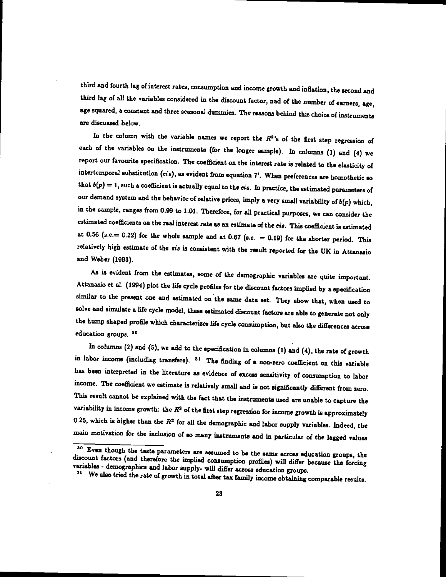third and fourth lag of interest rates, consumption and income growth and inflation, the second and third lag of all the variables considered in the discount factor, nad of the number of earners, age, age squared, a constant and three seasonal dummies. The reasons behind this choice of instruments are discussed below.

In the column with the variable names we report the  $R^2$ 's of the first step regression of each of the variables on the instruments (for the longer sample). In columns (1) and (4) we report our favourite specification. The coefficient on the interest rate is related to the elasticity of intertemporal substitution (cis), as evident from equation 7'. When preferences are homothetic so that  $b(p) = 1$ , such a coefficient is actually equal to the *eis*. In practice, the estimated parameters of our demand system and the behavior of relative prices, imply a very small variability of  $b(p)$  which, in the sample, ranges from 0.99 to 1.01. Therefore, for all practical purposes, we can consider the estimated coefficients on the real interest rate as an estimate of the cia. This coefficient is estimated at 0.56 (s.e.  $= 0.22$ ) for the whole sample and at 0.67 (s.e.  $= 0.19$ ) for the shorter period. This relatively high estimate of the cis is consistent with the result reported for the UK in Attanasio and Weber (1993).

As is evident from the estimates, some of the demographic variables are quite important. Attanasio et al. (1994) plot the life cycle profiles for the discount factors implied by a specification similar to the present one and estimated on the same data set. They show that, when used to solve and simulate a life cycle model, these estimated discount factors are able to generate not only the hump shaped profile which characterizes life cycleconsumption, but also the differences across education groups, 30

In columns (2) and (5), we add to the specification in columns (1) and (4), the rate of growth in labor income (including transfers).  $31$  The finding of a non-zero coefficient on this variable has been interpreted in the literature as evidence of excess sensitivity of consumption to labor income. The coefficient we estimate is relatively small and is not significantly different from zero. This result cannot be explained with the fact that the instruments used are unable to capture the variability in income growth: the  $R<sup>2</sup>$  of the first step regression for income growth is approximately 0.25, which is higher than the  $R^2$  for all the demographic and labor supply variables. Indeed, the main motivation for the inclusion of so many instruments and in particular of the lagged values  $\frac{1}{100}$  Even though the taste parameters are assumed to be the same across education groups, the

discount factors (and therefore the implied consumption profiles) will differ because the forcing<br>variables - demographics and labor supply- will differ across education groups.<br><sup>31</sup> We also tried the rate of growth in tot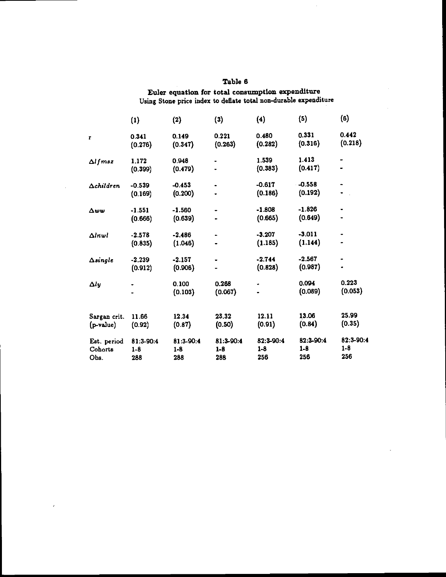|                                | (1)                       | (2)                       | (3)                       | (4)                       | (5)                         | (6)                       |
|--------------------------------|---------------------------|---------------------------|---------------------------|---------------------------|-----------------------------|---------------------------|
| r                              | 0.341<br>(0.276)          | 0.149<br>(0.347)          | 0.221<br>(0.263)          | 0.480<br>(0.282)          | 0.331<br>(0.316)            | 0.442<br>(0.218)          |
| $\Delta$ <i>l</i> f msz        | 1.172<br>(0.399)          | 0.948<br>(0.479)          |                           | 1.539<br>(0.383)          | 1.413<br>(0.417)            |                           |
| $\Delta$ children              | $-0.539$<br>(0.169)       | $-0.453$<br>(0.200)       | $\ddot{\phantom{1}}$      | $-0.617$<br>(0.186)       | $-0.558$<br>(0.192)         |                           |
| Δωω                            | $-1.551$<br>(0.666)       | $-1.560$<br>(0.639)       | $\bullet$                 | $-1.808$<br>(0.665)       | $-1.826$<br>(0.649)         |                           |
| $\Delta l$ nw $l$              | $-2.578$<br>(0.835)       | $-2.486$<br>(1.046)       |                           | $-3.207$<br>(1.185)       | $-3.011$<br>(1.144)         |                           |
| $\Delta$ single                | $-2.239$<br>(0.912)       | $-2.157$<br>(0.906)       |                           | $-2.744$<br>(0.828)       | $-2.567$<br>(0.987)         |                           |
| $\Delta$ ly                    |                           | 0.100<br>(0.103)          | 0.268<br>(0.067)          |                           | 0.094<br>(0.089)            | 0.223<br>(0.053)          |
| Sargan crit.<br>(p-value)      | 11.66<br>(0.92)           | 12.34<br>(0.87)           | 23.32<br>(0.50)           | 12.11<br>(0.91)           | 13.06<br>(0.84)             | 25.99<br>(0.35)           |
| Est. period<br>Cohorts<br>Obs. | 81:3-90:4<br>$1-8$<br>288 | 81:3-90:4<br>$1-8$<br>288 | 81.3-90:4<br>$1-8$<br>288 | 82:3-90:4<br>$1-8$<br>256 | 82:3-90:4<br>$1 - 8$<br>256 | 82:3-90:4<br>$1-8$<br>256 |

 $\overline{1}$ 

Table 6 Euler equaflon for total consumption expenditure Using Stone price index to deflate total non-durable expenditure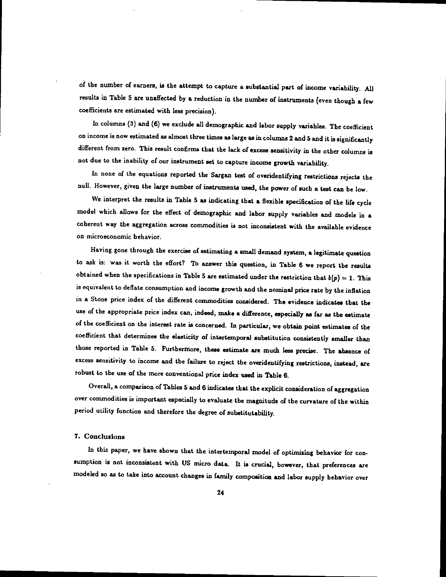of the number of earners, is the attempt to capture a substantial part of income variability. All results in Table <sup>5</sup> are unaffected by a reduction in the number of instruments (even though a few coefficients are estimated with less precision).

In columns  $(3)$  and  $(6)$  we exclude all demographic and labor supply variables. The coefficient on income is now estimated as almost three times as large as in columns 2 and 5 and it is significantly different from zero. This result confirms that the lack of excess sensitivity in the other columns is not due to the inability of our instrument set to capture income growth variability.

In none of the equations reported the Sargan test of overidentifying restrictions rejects the null. However, given the large number of instruments used, the power of such a test can be low.

We interpret the results in Table 5 as indicating that a flexible specification of the life cycle model which allows for the effect of demographic and labor supply variables and models in a coherent way the aggregation across commodities is not inconsistent with the available evidence on microeconomjc behavior.

Raving gone through the exercise of estimating a small demand system, a legitimate question to ask is: was it worth the effort? To answer this question, in Table 6 we report the results obtained when the specifications in Table 5 are estimated under the restriction that  $b(p) = 1$ . This is equivalent to deflate consumption and income growth and the nominal price rate by the inflation in a Stone price index of the different commodities considered. The evidence indicates that the use of the appropriate price index can, indeed, make a difference, especially as far as the estimate of the coefficient on the interest rate is concerned. In particular, we obtain point estimates of the coefficient that determines the elasticity of intertemporal substitution consistently smaller than those reported in Table 5. Furthermore, these estimate are much less precise. The absence of excess sensitivity to income and the failure to reject the overidentifying restrictions, instead, are robust to the use of the more conventional price index used in Table 6.

Overall, a comparison of Thbles 5 and 6 indicates that the explicit consideration of aggregation over commodities is important especially to evaluate the magnitude of the curvature of the within period utility function and therefore the degree of substitutability.

#### 7. ConclusIons

In this paper, we have shown that the intertemporal model of optimizing behavior for consumption is not inconsistent with US micro data. It is crucial, however, that preferences are modeled so as to take into account changes in family composition and labor supply behavior over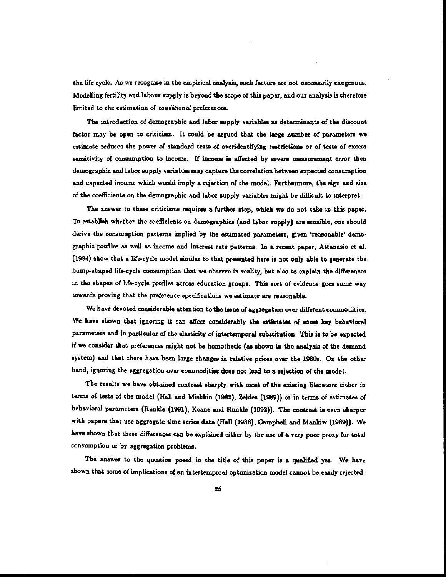the life cycle. As we recognize in the empirical analysis, such factors are not necessarily exogenous. Modelling fertility and labour supply is beyond the scope of this paper, and our analysis is therefore limited to the estimation of conditional preferences.

The introduction of demographic and labor supply variables as determinants of the discount factor may be open to criticism. It could be argued that the large number of parameters we estimate reduces the power of standard tests of overidentifying restrictions or of tests of excess sensitivity of consumption to income, If income is affected by severe measurement error then demographic and labor supply variables may capture the correlation between expected consumption and expected income which would imply a rejection of the model. Furthermore, the sign and size of the coefficients on the demographic and labor supply variables might be difficult to interpret.

The answer to these criticisms requires a further step, which we do not take in this paper. To establish whether the coefficients on demographics (and labor supply) are sensible, one should derive the consumption patterns implied by the estimated parameters, given 'reasonable' demographic profiles as well as income and interest rate patterns. In a recent paper, Attanasio et al. (1994) show that a life-cycle model similar to that presented here is not only able to generate the hump-shaped life-cycle consumption that we observe in reality, but also to explain the differences in the shapes of life-cycle profiles across education groups. This sort of evidence goes some way towards proving that the preference specifications we estimate are reasonable.

We have devoted considerable attention to the issue of aggregation over different commodities. We have shown that ignoring it can affect considerably the estimates of some key behavioral parameters and in particular of the elasticity of intertemporal substitution. This is to be expected if we consider that preferences might not be homothetic (as shown in the analysis of the demand system) and that there have been large changes in relative prices over the 1980s. On the other hand, ignoring the aggregation over commodities does not lead to a rejection of the model.

The results we have obtained contrast sharply with most of the existing literature either in terms of tests of the model (Hall and Mishkin (1982), Zeldes (1989)) or in terms of estimates of behavioral parameters (Runkle (1991), Keane and Runkle (1992)). The contrast is even sharper with papers that use aggregate time series data (Hall (1988), Campbell and Mankiw (1989)). We have shown that these differences can be explained either by the use of a very poor proxy for total consumption or by aggregation problems.

The answer to the question posed in the title of this paper is a qualified yes. We have shown that some of implications of an intertemporal optimization model cannot be easily rejected.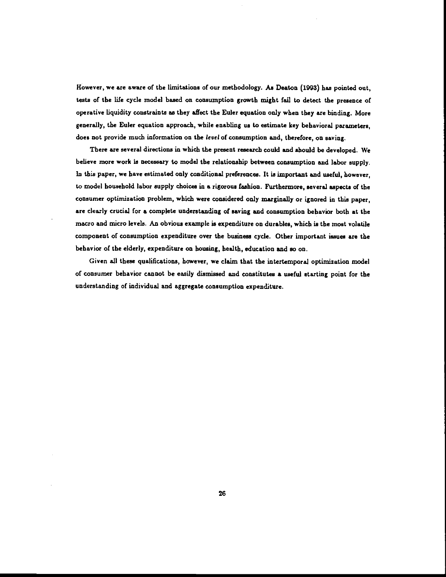However, we are aware of the limitations of our methodology. As Deaton (1993) has pointed out, tests of the life cycle model based on consumption growth might fail to detect the presence of operative liquidity constraints as they affect the Euler equation only when they are binding. More generally, the Euler equation approach, while enabling us to estimate key behavioral parameters, does not provide much information on the level of consumption and, therefore, on saving.

There are several directions in which the present research could and should be developed. We believe more work is necessary to model the relationship between consumption and labor supply. In this paper, we have estimated only conditional preferences. It is important and useful, however, to model household labor supply choices in a rigorous fashion. Furthermore, several aspects of the consumer optimization problem, which were considered only marginally or ignored in this paper, are clearly crucial for a complete understanding of saving and consumption behavior both at the macro and micro levels. An obvious example is expenditure on durables, which is the most volatile component of consumption expenditure over the business cycle. Other important issues are the behavior of the elderly, expenditure on housing, health, education and so on.

Given all these qualifications, however, we claim that the intertemporal optimization model of consumer behavior cannot be easily dismissed and constitutes a useful starting point for the understanding of individual and aggregate consumption expenditure.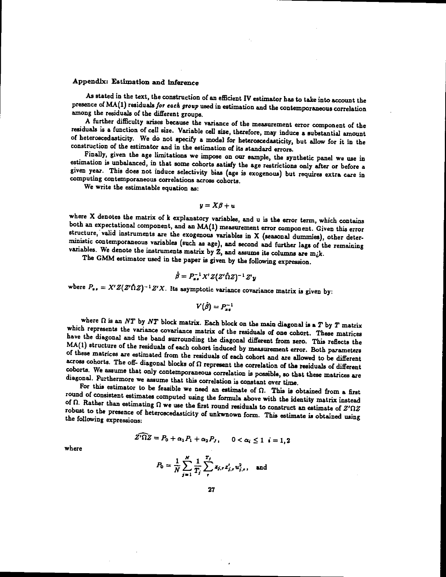# Appendix: Estimation and inference

As stated in the text, the construction of an efficient IV estimator has to take into account the presence of MA(1) residuals for each group used in estimation and the contemporaneous correlation among the residuals of the different groups.<br>A further difficulty arises because the variance of the measurement error component of the

residuals is a function of cell size. Variable cell size, therefore, may induce a substantial amount<br>of heteroscedasticity. We do not specify a model for heteroscedasticity, but allow for it in the construction of the estimator and in the estimation of its standard errors.

Finally, given the age limitations we impose on our sample, the synthetic panel we use in estimation is unbalanced, in that some cohorts satisfy the age restrictions only after or before a given year. This does not induce selectivity bias (age is exogenous) but requires extra care in computing contemporaneous correlations across cohorts.

We write the estimatable equation as:

$$
y = X\beta + u
$$

where X denotes the matrix of  $k$  explanatory variables, and  $u$  is the error term, which contains both an expectational component, and an MA(1) measurement error component. Given this error structure, valid instruments a variables. We denote the instruments matrix by  $\tilde{z}$ , and assume its columns are m<sub>i</sub>k.

The GMM estimator used in the paper is given by the following expression.

$$
\hat{\beta} = P_{xx}^{-1} X' Z (Z' \hat{\Omega} Z)^{-1} Z' y
$$

where  $P_{xx} = X'Z(Z'\hat{\Omega}Z)^{-1}Z'X$ . Its asymptotic variance covariance matrix is given by:

$$
V(\tilde{\beta})=P^{-1}
$$

where  $\Omega$  is an NT by NT block matrix. Each block on the main diagonal is a T by T matrix<br>which represents the variance covariance matrix of the residuals of one cohort. These matrices<br>have the diagonal and the band surr

coborts. We assume that only contemporaneous correlation is possible, so that these matrices are diagonal. Furthermore we assume that this correlation is constant over time.<br>For this estimator to be feasible we need an es robust to the presence of heteroscedasticity of unkwnown form. This estimate is obtained using the following expressions:

$$
Z'\Omega Z = P_0 + \alpha_1 P_1 + \alpha_2 P_J, \qquad 0 < \alpha_i \leq 1 \quad i = 1, 2
$$

where

$$
P_0 = \frac{1}{N} \sum_{j=1}^N \frac{1}{T_j} \sum_{r}^{T_j} z_{j,r} z'_{j,r} u_{j,r}^2, \text{ and}
$$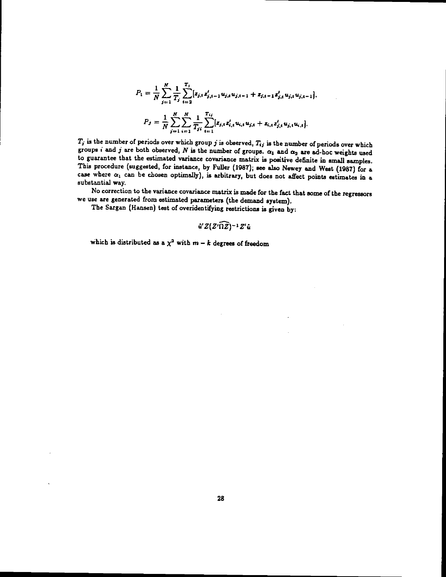$$
P_1 = \frac{1}{N} \sum_{j=1}^{N} \frac{1}{T_j} \sum_{t=2}^{T_j} [z_{j,t} z'_{j,t-1} u_{j,t} u_{j,t-1} + z_{j,t-1} z'_{j,t} u_{j,t} u_{j,t-1}].
$$
  

$$
P_J = \frac{1}{N} \sum_{j=1}^{N} \sum_{i=1}^{N} \frac{1}{T_{ji}} \sum_{t=1}^{T_{ij}} [z_{j,t} z'_{i,t} u_{i,t} u_{j,t} + z_{i,t} z'_{j,t} u_{j,t} u_{i,t}].
$$

 $T_j$  is the number of periods over which group j is observed,  $T_{ij}$  is the number of periods over which groups i and j are both observed, N is the number of groups.  $\alpha_1$  and  $\alpha_2$  are ad-hoc weights used to guarantee that the estimated variance covariance matrix is positive definite in small samples.<br>This procedure (suggested, for instance, by Fuller (1987); see also Newey and West (1987) for a case where  $\alpha_1$  can be chosen optimally), is arbitrary, but does not affect points estimates in a substantial way.

No correction to the variance covariance matrix is made for the fact that some of the regressors we use are generated from estimated parameters (the demand system).

The Sargan (Hansen) test of overidentifying restrictions is given by:

$$
\hat{u}'Z(Z'\widehat{\Omega Z})^{-1}Z'\hat{u}
$$

which is distributed as a  $\chi^2$  with  $m - k$  degrees of freedom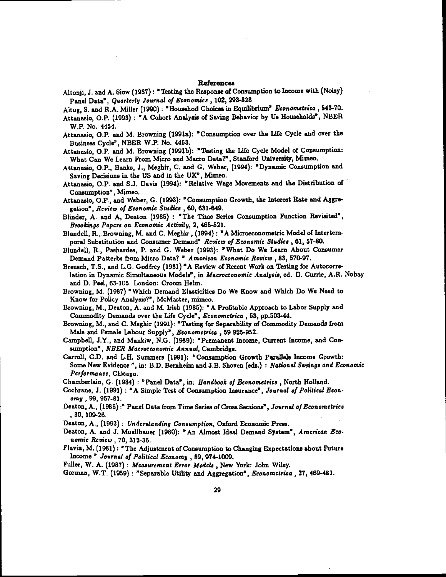#### References

Altonji, J. and A. Siow (1987): "Testing the Response of Consumption to Income with (Noisy) Panel Data', Quarterly Journal of Economics , 102, 293-328

Altug, S. and R.A. Miller (1990): "Househod Choices in Equilibrium" Econometrica, 543-70.

- Attanasio, O.P. (1993) : "A Cohort Analysis of Saving Behavior by Us Households", NBER W.P. No. 4454.
- Attanasio, O.P. and M. Browning (1991a): Consumption over the Life Cycle and over the Business Cycle", NBER W.P. No. 4453.
- Attanasio, O.P. and M. Browning (1991b): "Testing the Life Cycle Model of Consumption: What Can We Learn From Micro and Macro Data?', Stanford University, Mimeo.
- Attanasio, O.P., Banks, J., Meghir, C. and G. Weber, (1994): 'Dynamic Consumption and Saving Decisions in the US and in the UK", Mimeo.
- Attanasio, O.P. and 5.3. Davis (1994): "Relative Wage Movements and the Distribution of Consumption", Mimeo.
- Attanasio, O.P., and Weber, G. (1993): "Consumption Growth, the Interest Rate and Aggregation", Review of Economic Studies , 60, 631-649.
- Blinder, A. and A, Deaton (1985): "The Time Series Consumption Function Revisited', Brookings Papers on Economic Activity, 2, 465-521.
- Blundell, R.,Browning, M. and C. Meghir, (1994): 'A Microeconometric Model of Interternporal Substitution and Consumer Demand" Review of Economic Studies, 61, 57-80.
- Blundell, R., Pashardes, P. and C. Weber (1993): 'What Do We Learn About Consumer Demand Patterba from Micro Data? " American Economic Review , 83, 570-97.
- Breusch, T.S., and L.G. Godfrey (1981) "A Review of Recent Work on Testing for Autocorrelation in Dynamic Simultaneous Models", in Macroeconomic Analysis, ed. D. Curtis, AR. Nobay and D. Peel, 63-105. London: Croom Helm.
- Browning, M. (1987) "Which Demand Elasticities Do We Know and Which Do We Need to Know for Policy Analysis?", McMaster, mimeo.
- Browning, M., Deaton, A. and M. Irish (1985): "A Profitable Approach to Labor Supply and Commodity Demands over the Life Cycle", Econometrics , 53, pp.503-44.
- Browning, M., and C. Meghir (1991): "Testing for Separability of Commodity Demands from Male and Female Labour Supply<sup>2</sup>, Econometrica, 59 925-952.
- Campbell, J.Y., and Mankiw, N.G. (1989): "Permanent Income, Current Income, and Consumption", NBER Macroeconomic Annual, Cambridge.
- Carroll, C.D. and L.H. Summers (1991): 'Consumption Growth Parallels Income Growth: Some New Evidence ", in: B.D. Bernheim and J.B. Shoven (eds.) : National Savings and Economic Performance, Chicago.
- Chamberlain, G. (1984) : "Panel Data", in: Handbook of Econometrics, North Holland.
- Cochrane, J. (1991) : 'A Simple Test of Consumption Insurance", Journal of Political Economy ,99, 957-81.
- Deaton, A., (1985) :" Panel Data from Time Series of Cross Sections", Journal of Econometrics 30, 109-26.
- Deaton, A., (1993): Understanding Consumption, Oxford Economic Press.
- Deaton, A. and J. Muellbauer (1980): "An Almost Ideal Demand System", American Economic Review , 70, 312-36.
- Flavin, M. (1981): "The Adjustment of Consumption to Changing Expectations about Future Income' Journal of Political Economy , 89, 974-1009.
- Fuller, W. A. (1987) : Measurement Error Models. New York: John Wiley.
- Corman, W.T. (1959) : "Separable Utility and Aggregation", Econometrics ,27, 469-481.